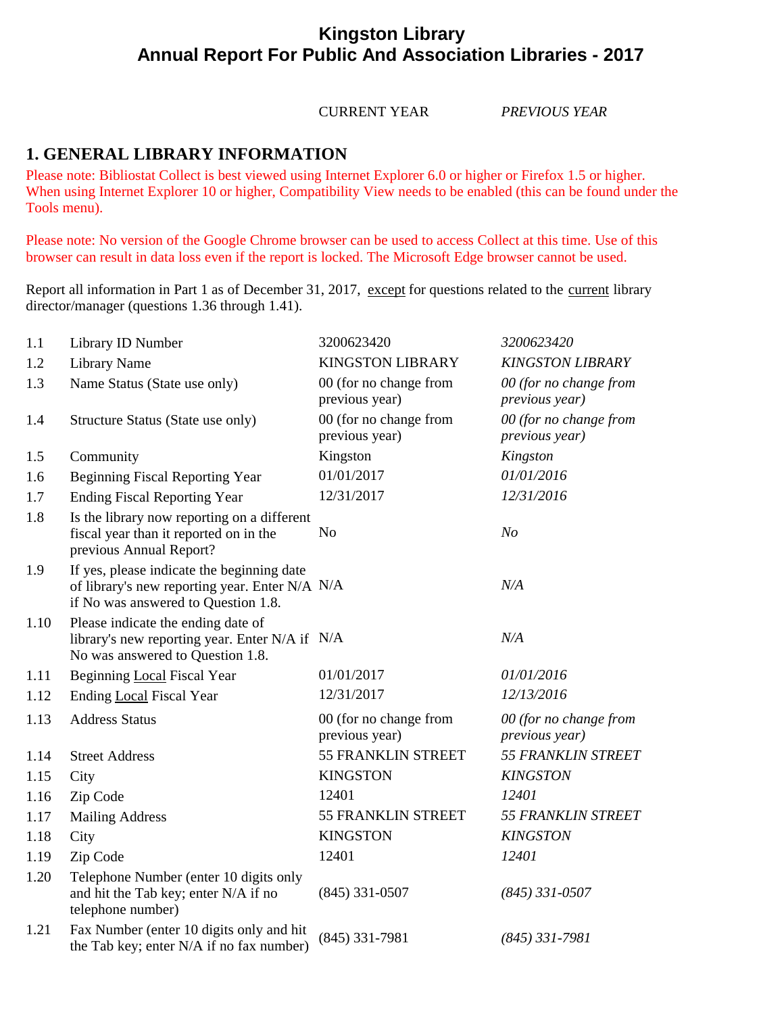## **Kingston Library Annual Report For Public And Association Libraries - 2017**

#### CURRENT YEAR *PREVIOUS YEAR*

## **1. GENERAL LIBRARY INFORMATION**

Please note: Bibliostat Collect is best viewed using Internet Explorer 6.0 or higher or Firefox 1.5 or higher. When using Internet Explorer 10 or higher, Compatibility View needs to be enabled (this can be found under the Tools menu).

Please note: No version of the Google Chrome browser can be used to access Collect at this time. Use of this browser can result in data loss even if the report is locked. The Microsoft Edge browser cannot be used.

Report all information in Part 1 as of December 31, 2017, except for questions related to the current library director/manager (questions 1.36 through 1.41).

| 1.1  | Library ID Number                                                                                                                   | 3200623420                               | 3200623420                               |
|------|-------------------------------------------------------------------------------------------------------------------------------------|------------------------------------------|------------------------------------------|
| 1.2  | <b>Library Name</b>                                                                                                                 | <b>KINGSTON LIBRARY</b>                  | <b>KINGSTON LIBRARY</b>                  |
| 1.3  | Name Status (State use only)                                                                                                        | 00 (for no change from<br>previous year) | 00 (for no change from<br>previous year) |
| 1.4  | Structure Status (State use only)                                                                                                   | 00 (for no change from<br>previous year) | 00 (for no change from<br>previous year) |
| 1.5  | Community                                                                                                                           | Kingston                                 | Kingston                                 |
| 1.6  | <b>Beginning Fiscal Reporting Year</b>                                                                                              | 01/01/2017                               | 01/01/2016                               |
| 1.7  | <b>Ending Fiscal Reporting Year</b>                                                                                                 | 12/31/2017                               | 12/31/2016                               |
| 1.8  | Is the library now reporting on a different<br>fiscal year than it reported on in the<br>previous Annual Report?                    | N <sub>o</sub>                           | N <sub>O</sub>                           |
| 1.9  | If yes, please indicate the beginning date<br>of library's new reporting year. Enter N/A N/A<br>if No was answered to Question 1.8. |                                          | N/A                                      |
| 1.10 | Please indicate the ending date of<br>library's new reporting year. Enter N/A if N/A<br>No was answered to Question 1.8.            |                                          | N/A                                      |
| 1.11 | Beginning Local Fiscal Year                                                                                                         | 01/01/2017                               | 01/01/2016                               |
| 1.12 | Ending Local Fiscal Year                                                                                                            | 12/31/2017                               | 12/13/2016                               |
| 1.13 | <b>Address Status</b>                                                                                                               | 00 (for no change from<br>previous year) | 00 (for no change from<br>previous year) |
| 1.14 | <b>Street Address</b>                                                                                                               | 55 FRANKLIN STREET                       | <b>55 FRANKLIN STREET</b>                |
| 1.15 | City                                                                                                                                | <b>KINGSTON</b>                          | <b>KINGSTON</b>                          |
| 1.16 | Zip Code                                                                                                                            | 12401                                    | 12401                                    |
| 1.17 | <b>Mailing Address</b>                                                                                                              | 55 FRANKLIN STREET                       | <b>55 FRANKLIN STREET</b>                |
| 1.18 | City                                                                                                                                | <b>KINGSTON</b>                          | <b>KINGSTON</b>                          |
| 1.19 | Zip Code                                                                                                                            | 12401                                    | 12401                                    |
| 1.20 | Telephone Number (enter 10 digits only<br>and hit the Tab key; enter N/A if no<br>telephone number)                                 | $(845)$ 331-0507                         | $(845)$ 331-0507                         |
| 1.21 | Fax Number (enter 10 digits only and hit<br>the Tab key; enter N/A if no fax number)                                                | $(845)$ 331-7981                         | $(845)$ 331-7981                         |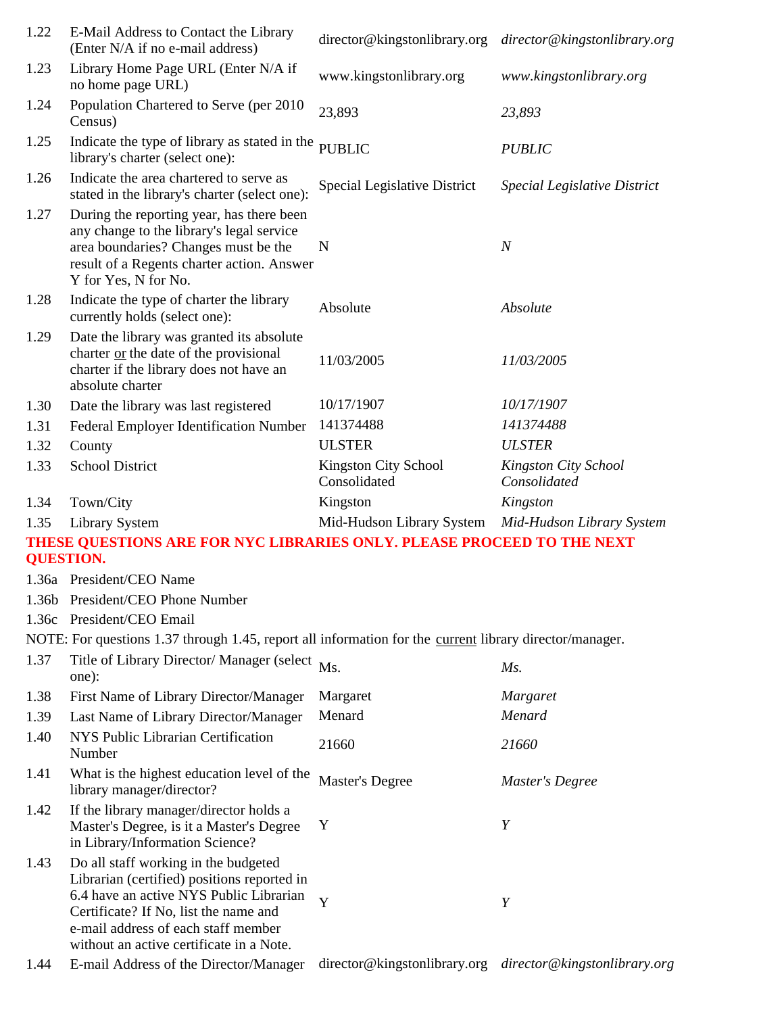| 1.22 | E-Mail Address to Contact the Library<br>(Enter N/A if no e-mail address)                                                                                                                                                                                  | director@kingstonlibrary.org                              | director@kingstonlibrary.org         |
|------|------------------------------------------------------------------------------------------------------------------------------------------------------------------------------------------------------------------------------------------------------------|-----------------------------------------------------------|--------------------------------------|
| 1.23 | Library Home Page URL (Enter N/A if<br>no home page URL)                                                                                                                                                                                                   | www.kingstonlibrary.org                                   | www.kingstonlibrary.org              |
| 1.24 | Population Chartered to Serve (per 2010<br>Census)                                                                                                                                                                                                         | 23,893                                                    | 23,893                               |
| 1.25 | Indicate the type of library as stated in the<br>library's charter (select one):                                                                                                                                                                           | <b>PUBLIC</b>                                             | <b>PUBLIC</b>                        |
| 1.26 | Indicate the area chartered to serve as<br>stated in the library's charter (select one):                                                                                                                                                                   | Special Legislative District                              | Special Legislative District         |
| 1.27 | During the reporting year, has there been<br>any change to the library's legal service<br>area boundaries? Changes must be the<br>result of a Regents charter action. Answer<br>Y for Yes, N for No.                                                       | N                                                         | $\boldsymbol{N}$                     |
| 1.28 | Indicate the type of charter the library<br>currently holds (select one):                                                                                                                                                                                  | Absolute                                                  | Absolute                             |
| 1.29 | Date the library was granted its absolute<br>charter or the date of the provisional<br>charter if the library does not have an<br>absolute charter                                                                                                         | 11/03/2005                                                | 11/03/2005                           |
| 1.30 | Date the library was last registered                                                                                                                                                                                                                       | 10/17/1907                                                | 10/17/1907                           |
| 1.31 | Federal Employer Identification Number                                                                                                                                                                                                                     | 141374488                                                 | 141374488                            |
| 1.32 | County                                                                                                                                                                                                                                                     | <b>ULSTER</b>                                             | <b>ULSTER</b>                        |
| 1.33 | <b>School District</b>                                                                                                                                                                                                                                     | <b>Kingston City School</b><br>Consolidated               | Kingston City School<br>Consolidated |
| 1.34 | Town/City                                                                                                                                                                                                                                                  | Kingston                                                  | Kingston                             |
| 1.35 | <b>Library System</b>                                                                                                                                                                                                                                      | Mid-Hudson Library System                                 | Mid-Hudson Library System            |
|      | THESE QUESTIONS ARE FOR NYC LIBRARIES ONLY. PLEASE PROCEED TO THE NEXT<br><b>QUESTION.</b>                                                                                                                                                                 |                                                           |                                      |
|      | 1.36a President/CEO Name                                                                                                                                                                                                                                   |                                                           |                                      |
|      | 1.36b President/CEO Phone Number                                                                                                                                                                                                                           |                                                           |                                      |
|      | 1.36c President/CEO Email                                                                                                                                                                                                                                  |                                                           |                                      |
|      | NOTE: For questions 1.37 through 1.45, report all information for the <u>current</u> library director/manager.                                                                                                                                             |                                                           |                                      |
| 1.37 | Title of Library Director/ Manager (select<br>one):                                                                                                                                                                                                        | Ms.                                                       | Ms.                                  |
| 1.38 | First Name of Library Director/Manager                                                                                                                                                                                                                     | Margaret                                                  | Margaret                             |
| 1.39 | Last Name of Library Director/Manager                                                                                                                                                                                                                      | Menard                                                    | Menard                               |
| 1.40 | NYS Public Librarian Certification<br>Number                                                                                                                                                                                                               | 21660                                                     | 21660                                |
| 1.41 | What is the highest education level of the<br>library manager/director?                                                                                                                                                                                    | <b>Master's Degree</b>                                    | <b>Master's Degree</b>               |
| 1.42 | If the library manager/director holds a<br>Master's Degree, is it a Master's Degree<br>in Library/Information Science?                                                                                                                                     | Y                                                         | Y                                    |
| 1.43 | Do all staff working in the budgeted<br>Librarian (certified) positions reported in<br>6.4 have an active NYS Public Librarian<br>Certificate? If No, list the name and<br>e-mail address of each staff member<br>without an active certificate in a Note. | Y                                                         | Y                                    |
| 1.44 | E-mail Address of the Director/Manager                                                                                                                                                                                                                     | director@kingstonlibrary.org director@kingstonlibrary.org |                                      |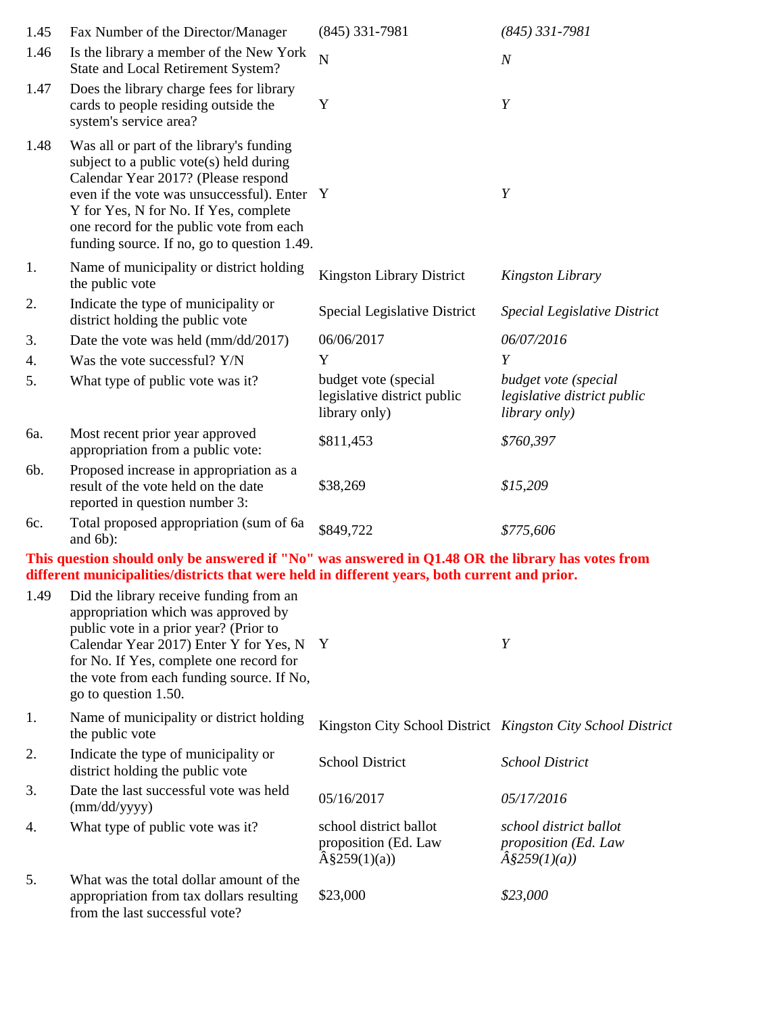| 1.45 | Fax Number of the Director/Manager                                                                                                                                                                                                                                                                          | $(845)$ 331-7981                                                     | $(845)$ 331-7981                                                             |
|------|-------------------------------------------------------------------------------------------------------------------------------------------------------------------------------------------------------------------------------------------------------------------------------------------------------------|----------------------------------------------------------------------|------------------------------------------------------------------------------|
| 1.46 | Is the library a member of the New York<br>State and Local Retirement System?                                                                                                                                                                                                                               | $\overline{N}$                                                       | $\overline{N}$                                                               |
| 1.47 | Does the library charge fees for library<br>cards to people residing outside the<br>system's service area?                                                                                                                                                                                                  | Y                                                                    | Y                                                                            |
| 1.48 | Was all or part of the library's funding<br>subject to a public vote(s) held during<br>Calendar Year 2017? (Please respond<br>even if the vote was unsuccessful). Enter<br>Y for Yes, N for No. If Yes, complete<br>one record for the public vote from each<br>funding source. If no, go to question 1.49. | Y                                                                    | Y                                                                            |
| 1.   | Name of municipality or district holding<br>the public vote                                                                                                                                                                                                                                                 | Kingston Library District                                            | Kingston Library                                                             |
| 2.   | Indicate the type of municipality or<br>district holding the public vote                                                                                                                                                                                                                                    | Special Legislative District                                         | <b>Special Legislative District</b>                                          |
| 3.   | Date the vote was held (mm/dd/2017)                                                                                                                                                                                                                                                                         | 06/06/2017                                                           | 06/07/2016                                                                   |
| 4.   | Was the vote successful? Y/N                                                                                                                                                                                                                                                                                | Y                                                                    | Y                                                                            |
| 5.   | What type of public vote was it?                                                                                                                                                                                                                                                                            | budget vote (special<br>legislative district public<br>library only) | budget vote (special<br>legislative district public<br><i>library only</i> ) |
| 6a.  | Most recent prior year approved<br>appropriation from a public vote:                                                                                                                                                                                                                                        | \$811,453                                                            | \$760,397                                                                    |
| 6b.  | Proposed increase in appropriation as a<br>result of the vote held on the date<br>reported in question number 3:                                                                                                                                                                                            | \$38,269                                                             | \$15,209                                                                     |
| 6c.  | Total proposed appropriation (sum of 6a)<br>and 6b):                                                                                                                                                                                                                                                        | \$849,722                                                            | \$775,606                                                                    |

**This question should only be answered if "No" was answered in Q1.48 OR the library has votes from different municipalities/districts that were held in different years, both current and prior.**

| 1.49 | Did the library receive funding from an<br>appropriation which was approved by<br>public vote in a prior year? (Prior to<br>Calendar Year 2017) Enter Y for Yes, N Y<br>for No. If Yes, complete one record for<br>the vote from each funding source. If No,<br>go to question 1.50. |                                                                           | Y                                                                           |
|------|--------------------------------------------------------------------------------------------------------------------------------------------------------------------------------------------------------------------------------------------------------------------------------------|---------------------------------------------------------------------------|-----------------------------------------------------------------------------|
| 1.   | Name of municipality or district holding<br>the public vote                                                                                                                                                                                                                          | Kingston City School District Kingston City School District               |                                                                             |
| 2.   | Indicate the type of municipality or<br>district holding the public vote                                                                                                                                                                                                             | <b>School District</b>                                                    | <b>School District</b>                                                      |
| 3.   | Date the last successful vote was held<br>$\text{(mm/dd/yyyy)}$                                                                                                                                                                                                                      | 05/16/2017                                                                | 05/17/2016                                                                  |
| 4.   | What type of public vote was it?                                                                                                                                                                                                                                                     | school district ballot<br>proposition (Ed. Law<br>$\hat{A}\$ \$259(1)(a)) | school district ballot<br>proposition (Ed. Law<br>$\hat{A}\hat{S}259(1)(a)$ |
| 5.   | What was the total dollar amount of the<br>appropriation from tax dollars resulting<br>from the last successful vote?                                                                                                                                                                | \$23,000                                                                  | \$23,000                                                                    |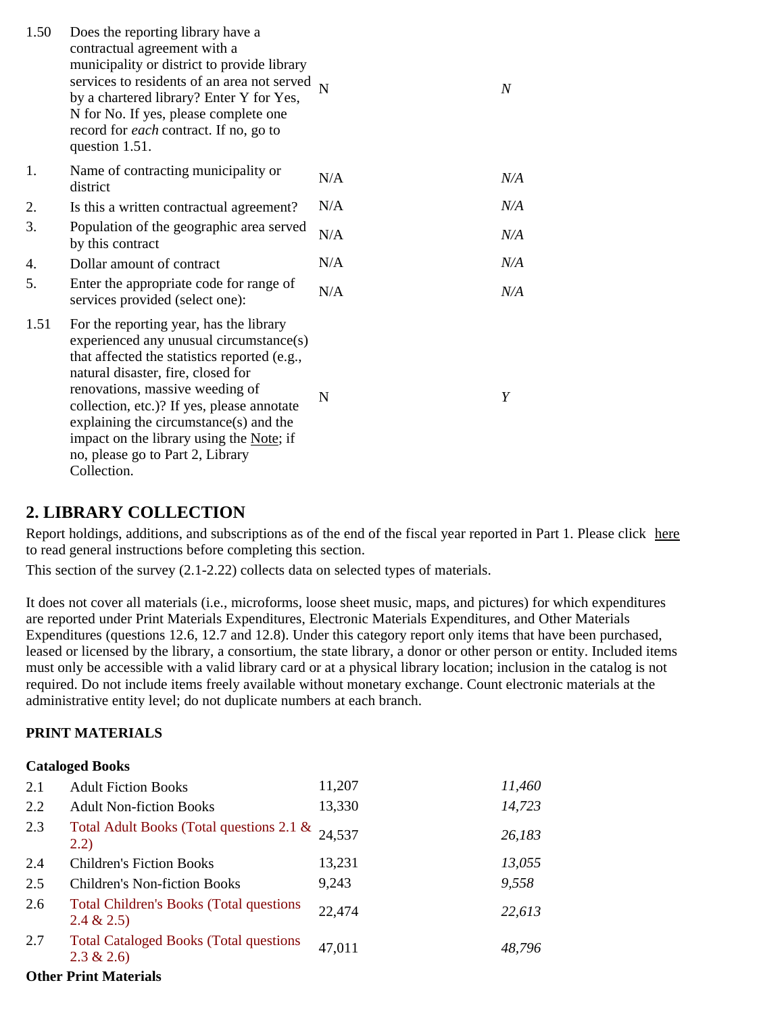| 1.50 | Does the reporting library have a<br>contractual agreement with a<br>municipality or district to provide library<br>services to residents of an area not served<br>by a chartered library? Enter Y for Yes,<br>N for No. If yes, please complete one<br>record for <i>each</i> contract. If no, go to<br>question 1.51.                                                                               | N   | $\overline{N}$ |
|------|-------------------------------------------------------------------------------------------------------------------------------------------------------------------------------------------------------------------------------------------------------------------------------------------------------------------------------------------------------------------------------------------------------|-----|----------------|
| 1.   | Name of contracting municipality or<br>district                                                                                                                                                                                                                                                                                                                                                       | N/A | N/A            |
| 2.   | Is this a written contractual agreement?                                                                                                                                                                                                                                                                                                                                                              | N/A | N/A            |
| 3.   | Population of the geographic area served<br>by this contract                                                                                                                                                                                                                                                                                                                                          | N/A | N/A            |
| 4.   | Dollar amount of contract                                                                                                                                                                                                                                                                                                                                                                             | N/A | N/A            |
| 5.   | Enter the appropriate code for range of<br>services provided (select one):                                                                                                                                                                                                                                                                                                                            | N/A | N/A            |
| 1.51 | For the reporting year, has the library<br>experienced any unusual circumstance(s)<br>that affected the statistics reported (e.g.,<br>natural disaster, fire, closed for<br>renovations, massive weeding of<br>collection, etc.)? If yes, please annotate<br>explaining the circumstance $(s)$ and the<br>impact on the library using the Note; if<br>no, please go to Part 2, Library<br>Collection. | N   | Y              |

## **2. LIBRARY COLLECTION**

Report holdings, additions, and subscriptions as of the end of the fiscal year reported in Part 1. Please click here to read general instructions before completing this section.

This section of the survey (2.1-2.22) collects data on selected types of materials.

It does not cover all materials (i.e., microforms, loose sheet music, maps, and pictures) for which expenditures are reported under Print Materials Expenditures, Electronic Materials Expenditures, and Other Materials Expenditures (questions 12.6, 12.7 and 12.8). Under this category report only items that have been purchased, leased or licensed by the library, a consortium, the state library, a donor or other person or entity. Included items must only be accessible with a valid library card or at a physical library location; inclusion in the catalog is not required. Do not include items freely available without monetary exchange. Count electronic materials at the administrative entity level; do not duplicate numbers at each branch.

#### **PRINT MATERIALS**

#### **Cataloged Books**

| <b>Adult Fiction Books</b>                                    | 11,207 | 11,460                                   |
|---------------------------------------------------------------|--------|------------------------------------------|
| <b>Adult Non-fiction Books</b>                                | 13,330 | 14,723                                   |
| (2.2)                                                         | 24,537 | 26,183                                   |
| <b>Children's Fiction Books</b>                               | 13,231 | 13,055                                   |
| <b>Children's Non-fiction Books</b>                           | 9,243  | 9,558                                    |
| <b>Total Children's Books (Total questions)</b><br>2.4 & 2.5  | 22,474 | 22,613                                   |
| <b>Total Cataloged Books (Total questions</b><br>$2.3 \& 2.6$ | 47,011 | 48,796                                   |
|                                                               |        | Total Adult Books (Total questions 2.1 & |

#### **Other Print Materials**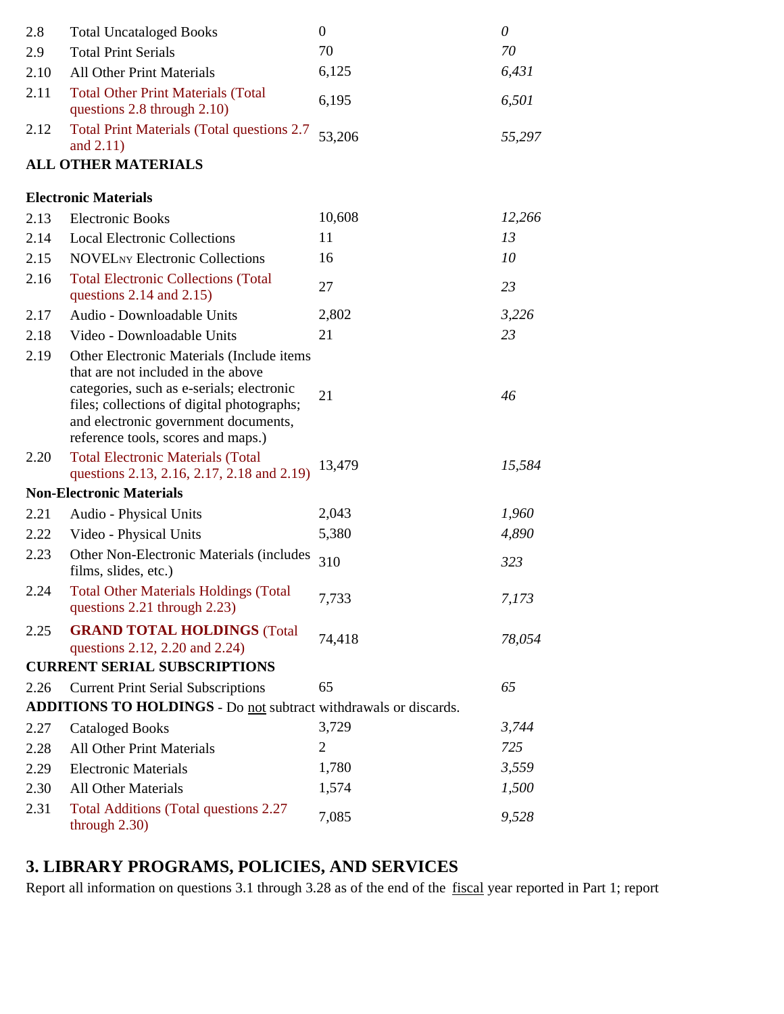| 2.8  | <b>Total Uncataloged Books</b>                                                                                                                                                                                                                           | $\mathbf{0}$   | $\theta$ |
|------|----------------------------------------------------------------------------------------------------------------------------------------------------------------------------------------------------------------------------------------------------------|----------------|----------|
| 2.9  | <b>Total Print Serials</b>                                                                                                                                                                                                                               | 70             | 70       |
| 2.10 | <b>All Other Print Materials</b>                                                                                                                                                                                                                         | 6,125          | 6,431    |
| 2.11 | <b>Total Other Print Materials (Total</b><br>questions 2.8 through 2.10)                                                                                                                                                                                 | 6,195          | 6,501    |
| 2.12 | <b>Total Print Materials (Total questions 2.7</b><br>and $2.11$ )                                                                                                                                                                                        | 53,206         | 55,297   |
|      | <b>ALL OTHER MATERIALS</b>                                                                                                                                                                                                                               |                |          |
|      | <b>Electronic Materials</b>                                                                                                                                                                                                                              |                |          |
| 2.13 | <b>Electronic Books</b>                                                                                                                                                                                                                                  | 10,608         | 12,266   |
| 2.14 | <b>Local Electronic Collections</b>                                                                                                                                                                                                                      | 11             | 13       |
| 2.15 | <b>NOVELNY Electronic Collections</b>                                                                                                                                                                                                                    | 16             | 10       |
| 2.16 | <b>Total Electronic Collections (Total</b><br>questions $2.14$ and $2.15$ )                                                                                                                                                                              | 27             | 23       |
| 2.17 | Audio - Downloadable Units                                                                                                                                                                                                                               | 2,802          | 3,226    |
| 2.18 | Video - Downloadable Units                                                                                                                                                                                                                               | 21             | 23       |
| 2.19 | Other Electronic Materials (Include items<br>that are not included in the above<br>categories, such as e-serials; electronic<br>files; collections of digital photographs;<br>and electronic government documents,<br>reference tools, scores and maps.) | 21             | 46       |
| 2.20 | <b>Total Electronic Materials (Total</b><br>questions 2.13, 2.16, 2.17, 2.18 and 2.19)                                                                                                                                                                   | 13,479         | 15,584   |
|      | <b>Non-Electronic Materials</b>                                                                                                                                                                                                                          |                |          |
| 2.21 | Audio - Physical Units                                                                                                                                                                                                                                   | 2,043          | 1,960    |
| 2.22 | Video - Physical Units                                                                                                                                                                                                                                   | 5,380          | 4,890    |
| 2.23 | Other Non-Electronic Materials (includes<br>films, slides, etc.)                                                                                                                                                                                         | 310            | 323      |
| 2.24 | <b>Total Other Materials Holdings (Total</b><br>questions 2.21 through 2.23)                                                                                                                                                                             | 7,733          | 7,173    |
| 2.25 | <b>GRAND TOTAL HOLDINGS (Total</b><br>questions 2.12, 2.20 and 2.24)                                                                                                                                                                                     | 74,418         | 78,054   |
|      | <b>CURRENT SERIAL SUBSCRIPTIONS</b>                                                                                                                                                                                                                      |                |          |
| 2.26 | <b>Current Print Serial Subscriptions</b>                                                                                                                                                                                                                | 65             | 65       |
|      | <b>ADDITIONS TO HOLDINGS - Do not subtract withdrawals or discards.</b>                                                                                                                                                                                  |                |          |
| 2.27 | <b>Cataloged Books</b>                                                                                                                                                                                                                                   | 3,729          | 3,744    |
| 2.28 | <b>All Other Print Materials</b>                                                                                                                                                                                                                         | $\overline{2}$ | 725      |
| 2.29 | <b>Electronic Materials</b>                                                                                                                                                                                                                              | 1,780          | 3,559    |
| 2.30 | <b>All Other Materials</b>                                                                                                                                                                                                                               | 1,574          | 1,500    |
| 2.31 | <b>Total Additions (Total questions 2.27</b><br>through $2.30$ )                                                                                                                                                                                         | 7,085          | 9,528    |

# **3. LIBRARY PROGRAMS, POLICIES, AND SERVICES**

Report all information on questions 3.1 through 3.28 as of the end of the fiscal year reported in Part 1; report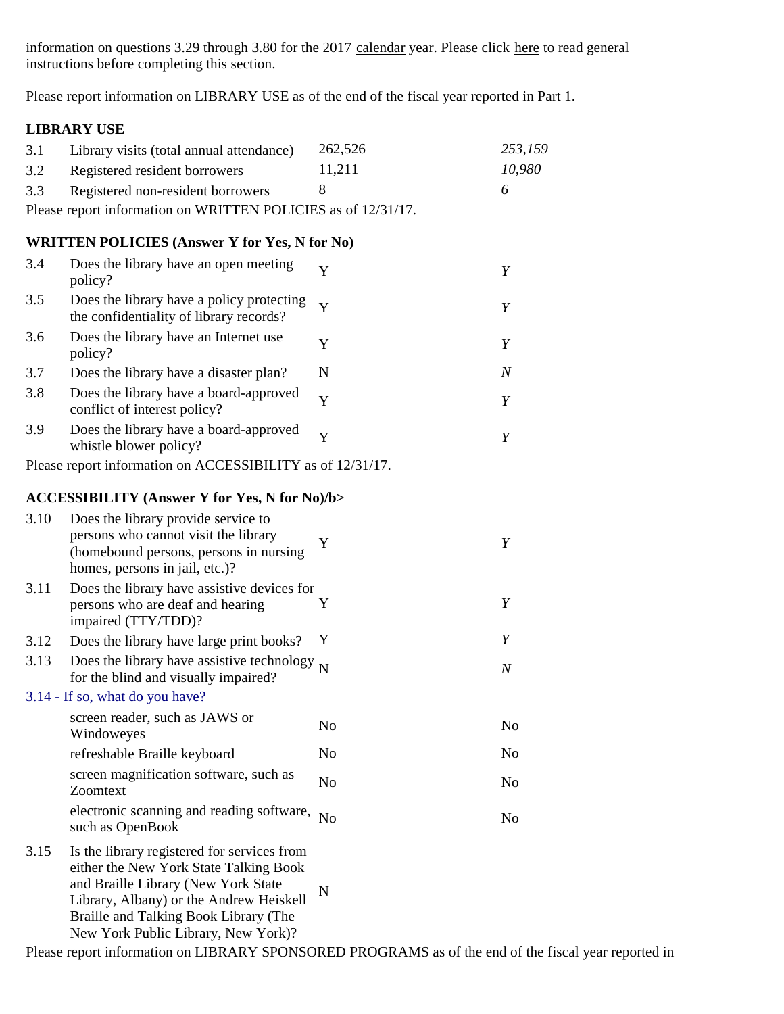information on questions 3.29 through 3.80 for the 2017 calendar year. Please click here to read general instructions before completing this section.

Please report information on LIBRARY USE as of the end of the fiscal year reported in Part 1.

#### **LIBRARY USE**

| 3.1 | Library visits (total annual attendance)                      | 262.526 | 253,159      |  |  |  |
|-----|---------------------------------------------------------------|---------|--------------|--|--|--|
| 3.2 | Registered resident borrowers                                 | 11.211  | 10,980       |  |  |  |
|     | 3.3 Registered non-resident borrowers                         |         | <sub>6</sub> |  |  |  |
|     | Please report information on WRITTEN POLICIES as of 12/31/17. |         |              |  |  |  |

### **WRITTEN POLICIES (Answer Y for Yes, N for No)**

| 3.4 | Does the library have an open meeting<br>policy?                                     |   |   |
|-----|--------------------------------------------------------------------------------------|---|---|
| 3.5 | Does the library have a policy protecting<br>the confidentiality of library records? |   |   |
| 3.6 | Does the library have an Internet use<br>policy?                                     |   |   |
| 3.7 | Does the library have a disaster plan?                                               | N | N |
| 3.8 | Does the library have a board-approved<br>conflict of interest policy?               | Y |   |
| 3.9 | Does the library have a board-approved<br>whistle blower policy?                     |   |   |

Please report information on ACCESSIBILITY as of 12/31/17.

#### **ACCESSIBILITY (Answer Y for Yes, N for No)/b>**

| 3.10 | Does the library provide service to<br>persons who cannot visit the library<br>(homebound persons, persons in nursing)<br>homes, persons in jail, etc.)?                                                                                                | Y              | Y                |
|------|---------------------------------------------------------------------------------------------------------------------------------------------------------------------------------------------------------------------------------------------------------|----------------|------------------|
| 3.11 | Does the library have assistive devices for<br>persons who are deaf and hearing<br>impaired (TTY/TDD)?                                                                                                                                                  | Y              | Y                |
| 3.12 | Does the library have large print books?                                                                                                                                                                                                                | Y              | Y                |
| 3.13 | Does the library have assistive technology $_N$<br>for the blind and visually impaired?                                                                                                                                                                 |                | $\boldsymbol{N}$ |
|      | 3.14 - If so, what do you have?                                                                                                                                                                                                                         |                |                  |
|      | screen reader, such as JAWS or<br>Windoweyes                                                                                                                                                                                                            | N <sub>0</sub> | N <sub>0</sub>   |
|      | refreshable Braille keyboard                                                                                                                                                                                                                            | N <sub>0</sub> | N <sub>0</sub>   |
|      | screen magnification software, such as<br>Zoomtext                                                                                                                                                                                                      | N <sub>0</sub> | N <sub>0</sub>   |
|      | electronic scanning and reading software,<br>such as OpenBook                                                                                                                                                                                           | N <sub>o</sub> | N <sub>0</sub>   |
| 3.15 | Is the library registered for services from<br>either the New York State Talking Book<br>and Braille Library (New York State<br>Library, Albany) or the Andrew Heiskell<br>Braille and Talking Book Library (The<br>New York Public Library, New York)? | N              |                  |
|      | Please report information on LIBRARY SPONSORED PROGRAMS as of the end of the fiscal year reported in                                                                                                                                                    |                |                  |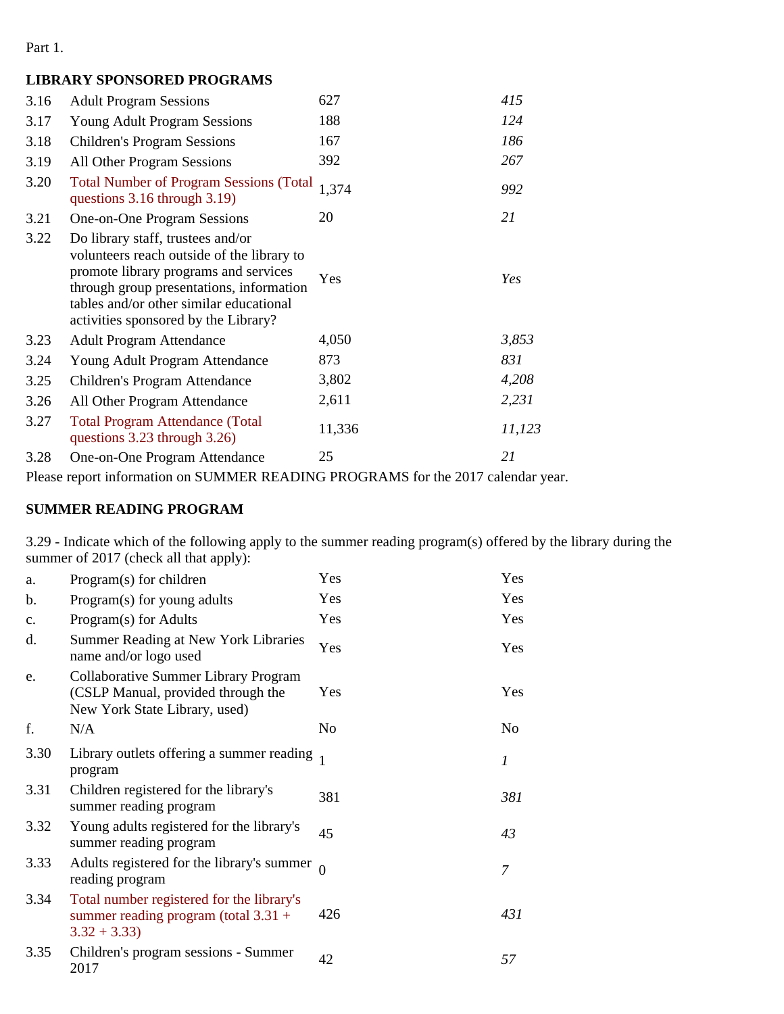Part 1.

## **LIBRARY SPONSORED PROGRAMS**

| 3.16 | <b>Adult Program Sessions</b>                                                                                                                                                                                                                           | 627    | 415    |
|------|---------------------------------------------------------------------------------------------------------------------------------------------------------------------------------------------------------------------------------------------------------|--------|--------|
| 3.17 | <b>Young Adult Program Sessions</b>                                                                                                                                                                                                                     | 188    | 124    |
| 3.18 | <b>Children's Program Sessions</b>                                                                                                                                                                                                                      | 167    | 186    |
| 3.19 | All Other Program Sessions                                                                                                                                                                                                                              | 392    | 267    |
| 3.20 | <b>Total Number of Program Sessions (Total</b><br>questions 3.16 through 3.19)                                                                                                                                                                          | 1,374  | 992    |
| 3.21 | One-on-One Program Sessions                                                                                                                                                                                                                             | 20     | 21     |
| 3.22 | Do library staff, trustees and/or<br>volunteers reach outside of the library to<br>promote library programs and services<br>through group presentations, information<br>tables and/or other similar educational<br>activities sponsored by the Library? | Yes    | Yes    |
| 3.23 | <b>Adult Program Attendance</b>                                                                                                                                                                                                                         | 4,050  | 3,853  |
| 3.24 | Young Adult Program Attendance                                                                                                                                                                                                                          | 873    | 831    |
| 3.25 | Children's Program Attendance                                                                                                                                                                                                                           | 3,802  | 4,208  |
| 3.26 | All Other Program Attendance                                                                                                                                                                                                                            | 2,611  | 2,231  |
| 3.27 | <b>Total Program Attendance (Total</b><br>questions 3.23 through 3.26)                                                                                                                                                                                  | 11,336 | 11,123 |
| 3.28 | One-on-One Program Attendance                                                                                                                                                                                                                           | 25     | 21     |

Please report information on SUMMER READING PROGRAMS for the 2017 calendar year.

## **SUMMER READING PROGRAM**

3.29 - Indicate which of the following apply to the summer reading program(s) offered by the library during the summer of 2017 (check all that apply):

| a.             | Program(s) for children                                                                                            | Yes      | Yes |
|----------------|--------------------------------------------------------------------------------------------------------------------|----------|-----|
| b.             | Program(s) for young adults                                                                                        | Yes      | Yes |
| $\mathbf{c}$ . | Program(s) for Adults                                                                                              | Yes      | Yes |
| d.             | Summer Reading at New York Libraries<br>name and/or logo used                                                      | Yes      | Yes |
| e.             | <b>Collaborative Summer Library Program</b><br>(CSLP Manual, provided through the<br>New York State Library, used) | Yes      | Yes |
| f.             | N/A                                                                                                                | No       | No  |
| 3.30           | Library outlets offering a summer reading<br>program                                                               |          | 1   |
| 3.31           | Children registered for the library's<br>summer reading program                                                    | 381      | 381 |
| 3.32           | Young adults registered for the library's<br>summer reading program                                                | 45       | 43  |
| 3.33           | Adults registered for the library's summer<br>reading program                                                      | $\theta$ | 7   |
| 3.34           | Total number registered for the library's<br>summer reading program (total $3.31 +$<br>$3.32 + 3.33$               | 426      | 431 |
| 3.35           | Children's program sessions - Summer<br>2017                                                                       | 42       | 57  |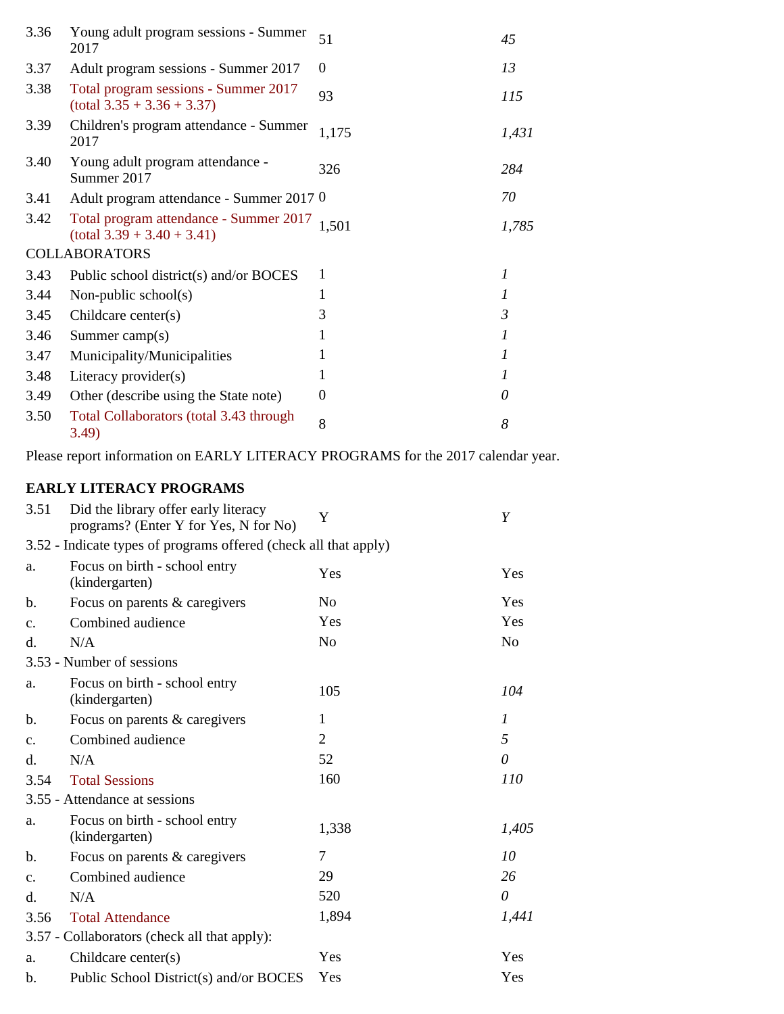| 3.36 | Young adult program sessions - Summer<br>2017                          | 51    | 45             |
|------|------------------------------------------------------------------------|-------|----------------|
| 3.37 | Adult program sessions - Summer 2017                                   | 0     | 13             |
| 3.38 | Total program sessions - Summer 2017<br>$(total 3.35 + 3.36 + 3.37)$   | 93    | 115            |
| 3.39 | Children's program attendance - Summer<br>2017                         | 1,175 | 1,431          |
| 3.40 | Young adult program attendance -<br>Summer 2017                        | 326   | 284            |
| 3.41 | Adult program attendance - Summer 2017 0                               |       | 70             |
| 3.42 | Total program attendance - Summer 2017<br>$(total 3.39 + 3.40 + 3.41)$ | 1,501 | 1,785          |
|      | <b>COLLABORATORS</b>                                                   |       |                |
| 3.43 | Public school district(s) and/or BOCES                                 | 1     | 1              |
| 3.44 | Non-public school(s)                                                   | 1     | 1              |
| 3.45 | Childcare center(s)                                                    | 3     | $\mathfrak{Z}$ |
| 3.46 | Summer camp $(s)$                                                      |       | 1              |
| 3.47 | Municipality/Municipalities                                            |       | 1              |
| 3.48 | Literacy provider(s)                                                   |       | 1              |
| 3.49 | Other (describe using the State note)                                  | 0     | 0              |
| 3.50 | Total Collaborators (total 3.43 through<br>3.49)                       | 8     | 8              |

Please report information on EARLY LITERACY PROGRAMS for the 2017 calendar year.

## **EARLY LITERACY PROGRAMS**

| 3.51           | Did the library offer early literacy<br>programs? (Enter Y for Yes, N for No) | Y              | Y              |
|----------------|-------------------------------------------------------------------------------|----------------|----------------|
|                | 3.52 - Indicate types of programs offered (check all that apply)              |                |                |
| a.             | Focus on birth - school entry<br>(kindergarten)                               | Yes            | Yes            |
| b.             | Focus on parents & caregivers                                                 | N <sub>0</sub> | Yes            |
| $\mathbf{c}$ . | Combined audience                                                             | Yes            | Yes            |
| d.             | N/A                                                                           | N <sub>o</sub> | N <sub>o</sub> |
|                | 3.53 - Number of sessions                                                     |                |                |
| a.             | Focus on birth - school entry<br>(kindergarten)                               | 105            | 104            |
| b.             | Focus on parents & caregivers                                                 | 1              | 1              |
| $C_{\bullet}$  | Combined audience                                                             | $\overline{2}$ | 5              |
| d.             | N/A                                                                           | 52             | $\theta$       |
| 3.54           | <b>Total Sessions</b>                                                         | 160            | 110            |
|                | 3.55 - Attendance at sessions                                                 |                |                |
| a.             | Focus on birth - school entry<br>(kindergarten)                               | 1,338          | 1,405          |
| b.             | Focus on parents & caregivers                                                 | 7              | 10             |
| $\mathbf{c}$ . | Combined audience                                                             | 29             | 26             |
| d.             | N/A                                                                           | 520            | $\theta$       |
| 3.56           | <b>Total Attendance</b>                                                       | 1,894          | 1,441          |
|                | 3.57 - Collaborators (check all that apply):                                  |                |                |
| a.             | Childcare center(s)                                                           | Yes            | Yes            |
| b.             | Public School District(s) and/or BOCES                                        | Yes            | Yes            |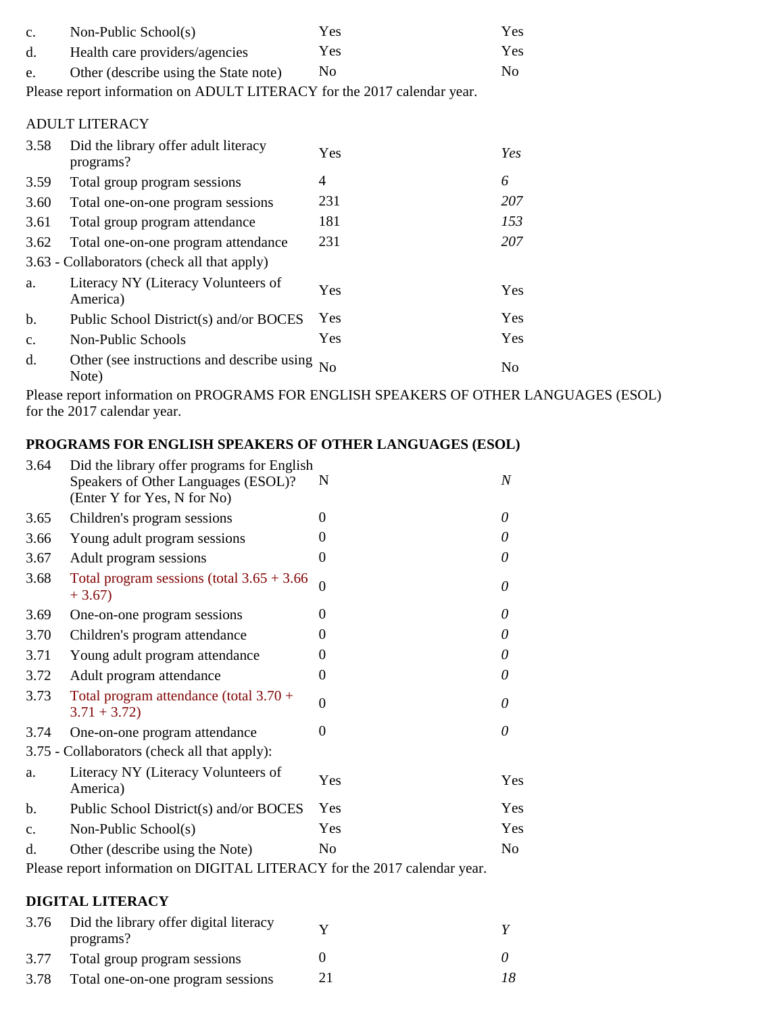| $C_{\bullet}$ | Non-Public School(s)                                                    | Yes            | Yes            |
|---------------|-------------------------------------------------------------------------|----------------|----------------|
| d.            | Health care providers/agencies                                          | Yes            | Yes            |
| e.            | Other (describe using the State note)                                   | N <sub>0</sub> | N <sub>0</sub> |
|               | Please report information on ADULT LITERACY for the 2017 calendar year. |                |                |
|               | <b>ADULT LITERACY</b>                                                   |                |                |
| 3.58          | Did the library offer adult literacy<br>programs?                       | Yes            | Yes            |
| 3.59          | Total group program sessions                                            | $\overline{4}$ | 6              |
| 3.60          | Total one-on-one program sessions                                       | 231            | 207            |
| 3.61          | Total group program attendance                                          | 181            | 153            |
| 3.62          | Total one-on-one program attendance                                     | 231            | 207            |
|               | 3.63 - Collaborators (check all that apply)                             |                |                |
| a.            | Literacy NY (Literacy Volunteers of<br>America)                         | Yes            | Yes            |
| b.            | Public School District(s) and/or BOCES                                  | <b>Yes</b>     | Yes            |
| $C_{\bullet}$ | Non-Public Schools                                                      | Yes            | Yes            |
| d.            | Other (see instructions and describe using<br>Note)                     | N <sub>o</sub> | N <sub>0</sub> |

Please report information on PROGRAMS FOR ENGLISH SPEAKERS OF OTHER LANGUAGES (ESOL) for the 2017 calendar year.

## **PROGRAMS FOR ENGLISH SPEAKERS OF OTHER LANGUAGES (ESOL)**

| 3.64          | Did the library offer programs for English<br>Speakers of Other Languages (ESOL)?<br>(Enter Y for Yes, N for No) | N        | $\boldsymbol{N}$ |
|---------------|------------------------------------------------------------------------------------------------------------------|----------|------------------|
| 3.65          | Children's program sessions                                                                                      | $\Omega$ | 0                |
| 3.66          | Young adult program sessions                                                                                     | 0        | 0                |
| 3.67          | Adult program sessions                                                                                           | 0        | 0                |
| 3.68          | Total program sessions (total $3.65 + 3.66$<br>$+3.67$                                                           | $\Omega$ | 0                |
| 3.69          | One-on-one program sessions                                                                                      | $\Omega$ | 0                |
| 3.70          | Children's program attendance                                                                                    | 0        | 0                |
| 3.71          | Young adult program attendance                                                                                   | $\Omega$ | $\theta$         |
| 3.72          | Adult program attendance                                                                                         | $\Omega$ | 0                |
| 3.73          | Total program attendance (total $3.70 +$<br>$3.71 + 3.72$                                                        | $\Omega$ | 0                |
| 3.74          | One-on-one program attendance                                                                                    | 0        | $\theta$         |
|               | 3.75 - Collaborators (check all that apply):                                                                     |          |                  |
| a.            | Literacy NY (Literacy Volunteers of<br>America)                                                                  | Yes      | Yes              |
| b.            | Public School District(s) and/or BOCES                                                                           | Yes      | Yes              |
| $C_{\bullet}$ | Non-Public School(s)                                                                                             | Yes      | Yes              |
| d.            | Other (describe using the Note)                                                                                  | No       | No               |
|               |                                                                                                                  |          |                  |

Please report information on DIGITAL LITERACY for the 2017 calendar year.

### **DIGITAL LITERACY**

|      | 3.76 Did the library offer digital literacy<br>programs? |     |
|------|----------------------------------------------------------|-----|
|      | 3.77 Total group program sessions                        |     |
| 3.78 | Total one-on-one program sessions                        | 18. |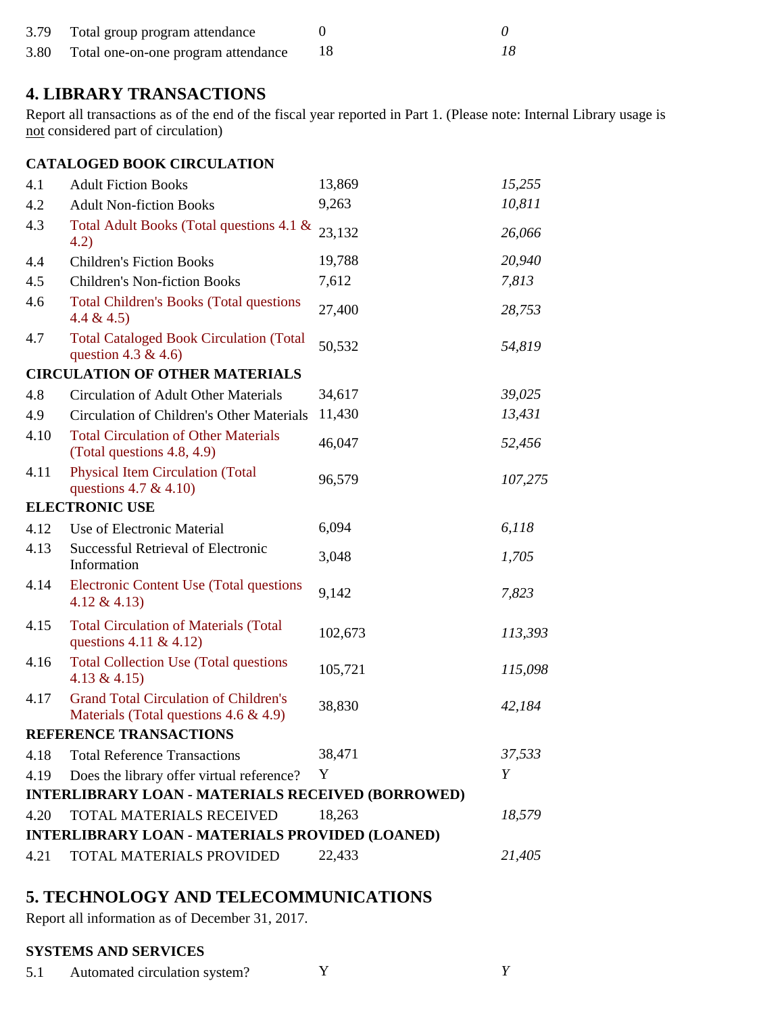|      | 3.79 Total group program attendance |  |  |
|------|-------------------------------------|--|--|
| 3.80 | Total one-on-one program attendance |  |  |

## **4. LIBRARY TRANSACTIONS**

Report all transactions as of the end of the fiscal year reported in Part 1. (Please note: Internal Library usage is not considered part of circulation)

|      | <b>CATALOGED BOOK CIRCULATION</b>                                                         |         |         |
|------|-------------------------------------------------------------------------------------------|---------|---------|
| 4.1  | <b>Adult Fiction Books</b>                                                                | 13,869  | 15,255  |
| 4.2  | <b>Adult Non-fiction Books</b>                                                            | 9,263   | 10,811  |
| 4.3  | Total Adult Books (Total questions 4.1 &<br>4.2)                                          | 23,132  | 26,066  |
| 4.4  | <b>Children's Fiction Books</b>                                                           | 19,788  | 20,940  |
| 4.5  | <b>Children's Non-fiction Books</b>                                                       | 7,612   | 7,813   |
| 4.6  | <b>Total Children's Books (Total questions</b><br>4.4 & 4.5                               | 27,400  | 28,753  |
| 4.7  | <b>Total Cataloged Book Circulation (Total</b><br>question 4.3 & 4.6)                     | 50,532  | 54,819  |
|      | <b>CIRCULATION OF OTHER MATERIALS</b>                                                     |         |         |
| 4.8  | <b>Circulation of Adult Other Materials</b>                                               | 34,617  | 39,025  |
| 4.9  | Circulation of Children's Other Materials                                                 | 11,430  | 13,431  |
| 4.10 | <b>Total Circulation of Other Materials</b><br>(Total questions 4.8, 4.9)                 | 46,047  | 52,456  |
| 4.11 | <b>Physical Item Circulation (Total</b><br>questions 4.7 & 4.10)                          | 96,579  | 107,275 |
|      | <b>ELECTRONIC USE</b>                                                                     |         |         |
| 4.12 | Use of Electronic Material                                                                | 6,094   | 6,118   |
| 4.13 | <b>Successful Retrieval of Electronic</b><br>Information                                  | 3,048   | 1,705   |
| 4.14 | <b>Electronic Content Use (Total questions</b><br>4.12 & 4.13)                            | 9,142   | 7,823   |
| 4.15 | <b>Total Circulation of Materials (Total</b><br>questions 4.11 & 4.12)                    | 102,673 | 113,393 |
| 4.16 | <b>Total Collection Use (Total questions</b><br>4.13 & 4.15)                              | 105,721 | 115,098 |
| 4.17 | <b>Grand Total Circulation of Children's</b><br>Materials (Total questions $4.6 \& 4.9$ ) | 38,830  | 42,184  |
|      | <b>REFERENCE TRANSACTIONS</b>                                                             |         |         |
| 4.18 | <b>Total Reference Transactions</b>                                                       | 38,471  | 37,533  |
| 4.19 | Does the library offer virtual reference?                                                 | Y       | Y       |
|      | <b>INTERLIBRARY LOAN - MATERIALS RECEIVED (BORROWED)</b>                                  |         |         |
| 4.20 | TOTAL MATERIALS RECEIVED                                                                  | 18,263  | 18,579  |
|      | <b>INTERLIBRARY LOAN - MATERIALS PROVIDED (LOANED)</b>                                    |         |         |
| 4.21 | TOTAL MATERIALS PROVIDED                                                                  | 22,433  | 21,405  |

# **5. TECHNOLOGY AND TELECOMMUNICATIONS**

Report all information as of December 31, 2017.

### **SYSTEMS AND SERVICES**

5.1 Automated circulation system? Y *Y*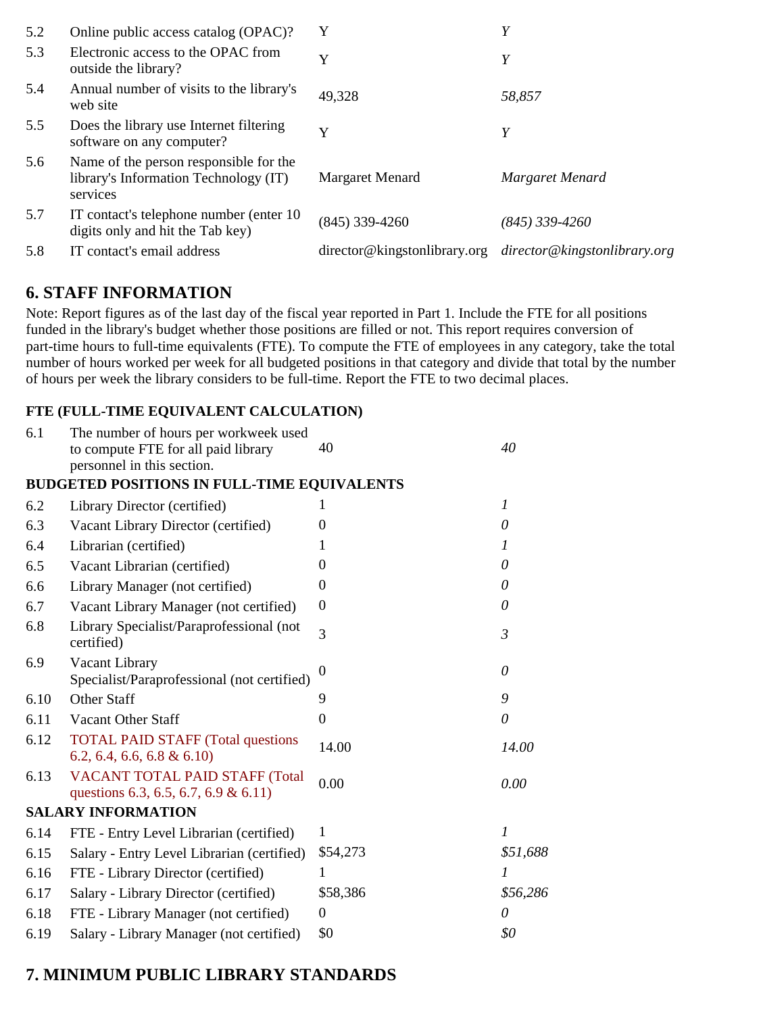| 5.2 | Online public access catalog (OPAC)?                                                        | Y                            | Y                            |
|-----|---------------------------------------------------------------------------------------------|------------------------------|------------------------------|
| 5.3 | Electronic access to the OPAC from<br>outside the library?                                  | Y                            | Y                            |
| 5.4 | Annual number of visits to the library's<br>web site                                        | 49,328                       | 58,857                       |
| 5.5 | Does the library use Internet filtering<br>software on any computer?                        | Y                            | Y                            |
| 5.6 | Name of the person responsible for the<br>library's Information Technology (IT)<br>services | Margaret Menard              | Margaret Menard              |
| 5.7 | IT contact's telephone number (enter 10)<br>digits only and hit the Tab key)                | $(845)$ 339-4260             | $(845)$ 339-4260             |
| 5.8 | IT contact's email address                                                                  | director@kingstonlibrary.org | director@kingstonlibrary.org |

## **6. STAFF INFORMATION**

Note: Report figures as of the last day of the fiscal year reported in Part 1. Include the FTE for all positions funded in the library's budget whether those positions are filled or not. This report requires conversion of part-time hours to full-time equivalents (FTE). To compute the FTE of employees in any category, take the total number of hours worked per week for all budgeted positions in that category and divide that total by the number of hours per week the library considers to be full-time. Report the FTE to two decimal places.

## **FTE (FULL-TIME EQUIVALENT CALCULATION)**

| 6.1  | The number of hours per workweek used<br>to compute FTE for all paid library<br>personnel in this section. | 40               | 40               |
|------|------------------------------------------------------------------------------------------------------------|------------------|------------------|
|      | <b>BUDGETED POSITIONS IN FULL-TIME EQUIVALENTS</b>                                                         |                  |                  |
| 6.2  | Library Director (certified)                                                                               | 1                | $\boldsymbol{l}$ |
| 6.3  | Vacant Library Director (certified)                                                                        | 0                | $\theta$         |
| 6.4  | Librarian (certified)                                                                                      | 1                | $\boldsymbol{l}$ |
| 6.5  | Vacant Librarian (certified)                                                                               | $\theta$         | 0                |
| 6.6  | Library Manager (not certified)                                                                            | $\Omega$         | 0                |
| 6.7  | Vacant Library Manager (not certified)                                                                     | $\boldsymbol{0}$ | 0                |
| 6.8  | Library Specialist/Paraprofessional (not<br>certified)                                                     | 3                | $\mathfrak{Z}$   |
| 6.9  | Vacant Library<br>Specialist/Paraprofessional (not certified)                                              | $\Omega$         | $\theta$         |
| 6.10 | <b>Other Staff</b>                                                                                         | 9                | 9                |
| 6.11 | <b>Vacant Other Staff</b>                                                                                  | $\theta$         | $\theta$         |
| 6.12 | <b>TOTAL PAID STAFF (Total questions)</b><br>$6.2, 6.4, 6.6, 6.8 \& 6.10$                                  | 14.00            | 14.00            |
| 6.13 | VACANT TOTAL PAID STAFF (Total<br>questions 6.3, 6.5, 6.7, 6.9 & 6.11)                                     | 0.00             | 0.00             |
|      | <b>SALARY INFORMATION</b>                                                                                  |                  |                  |
| 6.14 | FTE - Entry Level Librarian (certified)                                                                    | 1                | $\overline{I}$   |
| 6.15 | Salary - Entry Level Librarian (certified)                                                                 | \$54,273         | \$51,688         |
| 6.16 | FTE - Library Director (certified)                                                                         | 1                | 1                |
| 6.17 | Salary - Library Director (certified)                                                                      | \$58,386         | \$56,286         |
| 6.18 | FTE - Library Manager (not certified)                                                                      | $\overline{0}$   | $\theta$         |
| 6.19 | Salary - Library Manager (not certified)                                                                   | \$0              | \$0              |

## **7. MINIMUM PUBLIC LIBRARY STANDARDS**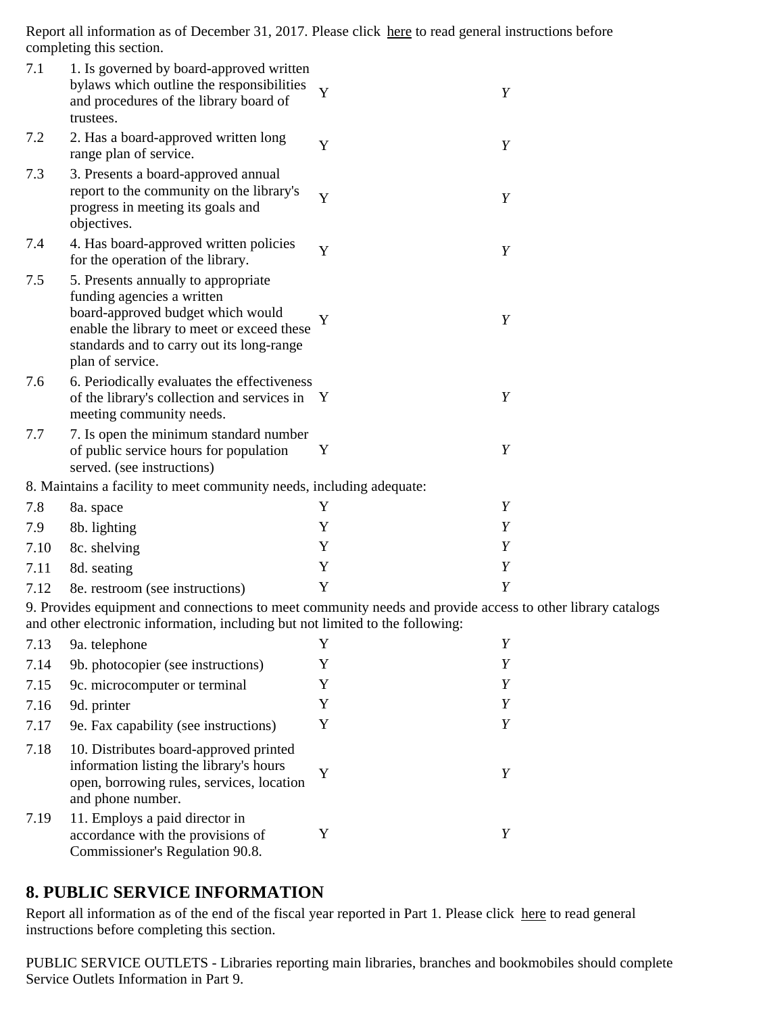Report all information as of December 31, 2017. Please click here to read general instructions before completing this section.

| 7.1  | 1. Is governed by board-approved written<br>bylaws which outline the responsibilities<br>and procedures of the library board of<br>trustees.                                                                          | Y            | Y |
|------|-----------------------------------------------------------------------------------------------------------------------------------------------------------------------------------------------------------------------|--------------|---|
| 7.2  | 2. Has a board-approved written long<br>range plan of service.                                                                                                                                                        | Y            | Y |
| 7.3  | 3. Presents a board-approved annual<br>report to the community on the library's<br>progress in meeting its goals and<br>objectives.                                                                                   | Y            | Y |
| 7.4  | 4. Has board-approved written policies<br>for the operation of the library.                                                                                                                                           | Y            | Y |
| 7.5  | 5. Presents annually to appropriate<br>funding agencies a written<br>board-approved budget which would<br>enable the library to meet or exceed these<br>standards and to carry out its long-range<br>plan of service. | Y            | Y |
| 7.6  | 6. Periodically evaluates the effectiveness<br>of the library's collection and services in<br>meeting community needs.                                                                                                | $\mathbf{Y}$ | Y |
| 7.7  | 7. Is open the minimum standard number<br>of public service hours for population<br>served. (see instructions)                                                                                                        | Y            | Y |
|      | 8. Maintains a facility to meet community needs, including adequate:                                                                                                                                                  |              |   |
| 7.8  | 8a. space                                                                                                                                                                                                             | Y            | Y |
| 7.9  | 8b. lighting                                                                                                                                                                                                          | Y            | Y |
| 7.10 | 8c. shelving                                                                                                                                                                                                          | Y            | Y |
| 7.11 | 8d. seating                                                                                                                                                                                                           | Y            | Y |
| 7.12 | 8e. restroom (see instructions)                                                                                                                                                                                       | Y            | Y |

9. Provides equipment and connections to meet community needs and provide access to other library catalogs and other electronic information, including but not limited to the following:

| 7.13 | 9a. telephone                                                                                                                                       | Y |   |
|------|-----------------------------------------------------------------------------------------------------------------------------------------------------|---|---|
| 7.14 | 9b. photocopier (see instructions)                                                                                                                  | Y |   |
| 7.15 | 9c. microcomputer or terminal                                                                                                                       | Y | Y |
| 7.16 | 9d. printer                                                                                                                                         | Y | Y |
| 7.17 | 9e. Fax capability (see instructions)                                                                                                               | Y |   |
| 7.18 | 10. Distributes board-approved printed<br>information listing the library's hours<br>open, borrowing rules, services, location<br>and phone number. |   |   |
| 7.19 | 11. Employs a paid director in<br>accordance with the provisions of<br>Commissioner's Regulation 90.8.                                              |   |   |

## **8. PUBLIC SERVICE INFORMATION**

Report all information as of the end of the fiscal year reported in Part 1. Please click here to read general instructions before completing this section.

PUBLIC SERVICE OUTLETS - Libraries reporting main libraries, branches and bookmobiles should complete Service Outlets Information in Part 9.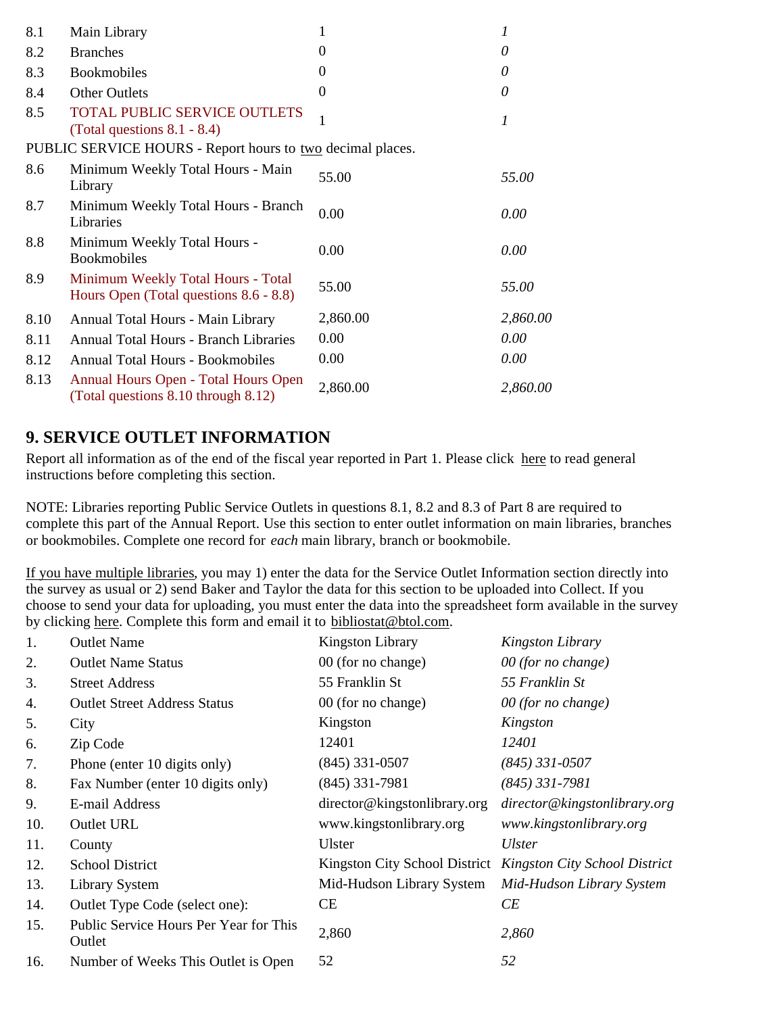| 8.1  | Main Library                                                                 | 1              | 1        |
|------|------------------------------------------------------------------------------|----------------|----------|
| 8.2  | <b>Branches</b>                                                              | $\theta$       | 0        |
| 8.3  | <b>Bookmobiles</b>                                                           | $\Omega$       | 0        |
| 8.4  | <b>Other Outlets</b>                                                         | $\overline{0}$ | $\theta$ |
| 8.5  | <b>TOTAL PUBLIC SERVICE OUTLETS</b><br>(Total questions $8.1 - 8.4$ )        | 1              | 1        |
|      | PUBLIC SERVICE HOURS - Report hours to <u>two</u> decimal places.            |                |          |
| 8.6  | Minimum Weekly Total Hours - Main<br>Library                                 | 55.00          | 55.00    |
| 8.7  | Minimum Weekly Total Hours - Branch<br>Libraries                             | 0.00           | 0.00     |
| 8.8  | Minimum Weekly Total Hours -<br><b>Bookmobiles</b>                           | 0.00           | 0.00     |
| 8.9  | Minimum Weekly Total Hours - Total<br>Hours Open (Total questions 8.6 - 8.8) | 55.00          | 55.00    |
| 8.10 | Annual Total Hours - Main Library                                            | 2,860.00       | 2,860.00 |
| 8.11 | <b>Annual Total Hours - Branch Libraries</b>                                 | 0.00           | 0.00     |
| 8.12 | <b>Annual Total Hours - Bookmobiles</b>                                      | 0.00           | 0.00     |
| 8.13 | Annual Hours Open - Total Hours Open<br>(Total questions 8.10 through 8.12)  | 2,860.00       | 2,860.00 |

## **9. SERVICE OUTLET INFORMATION**

Report all information as of the end of the fiscal year reported in Part 1. Please click here to read general instructions before completing this section.

NOTE: Libraries reporting Public Service Outlets in questions 8.1, 8.2 and 8.3 of Part 8 are required to complete this part of the Annual Report. Use this section to enter outlet information on main libraries, branches or bookmobiles. Complete one record for *each* main library, branch or bookmobile.

If you have multiple libraries, you may 1) enter the data for the Service Outlet Information section directly into the survey as usual or 2) send Baker and Taylor the data for this section to be uploaded into Collect. If you choose to send your data for uploading, you must enter the data into the spreadsheet form available in the survey by clicking here. Complete this form and email it to bibliostat@btol.com.

| 1.  | <b>Outlet Name</b>                               | Kingston Library              | Kingston Library                     |
|-----|--------------------------------------------------|-------------------------------|--------------------------------------|
| 2.  | <b>Outlet Name Status</b>                        | 00 (for no change)            | 00 (for no change)                   |
| 3.  | <b>Street Address</b>                            | 55 Franklin St                | 55 Franklin St                       |
| 4.  | <b>Outlet Street Address Status</b>              | 00 (for no change)            | 00 (for no change)                   |
| 5.  | City                                             | Kingston                      | Kingston                             |
| 6.  | Zip Code                                         | 12401                         | 12401                                |
| 7.  | Phone (enter 10 digits only)                     | $(845)$ 331-0507              | $(845)$ 331-0507                     |
| 8.  | Fax Number (enter 10 digits only)                | $(845)$ 331-7981              | $(845)$ 331-7981                     |
| 9.  | E-mail Address                                   | director@kingstonlibrary.org  | director@kingstonlibrary.org         |
| 10. | <b>Outlet URL</b>                                | www.kingstonlibrary.org       | www.kingstonlibrary.org              |
| 11. | County                                           | <b>Ulster</b>                 | <b>Ulster</b>                        |
| 12. | <b>School District</b>                           | Kingston City School District | <b>Kingston City School District</b> |
| 13. | <b>Library System</b>                            | Mid-Hudson Library System     | Mid-Hudson Library System            |
| 14. | Outlet Type Code (select one):                   | CE                            | CE                                   |
| 15. | Public Service Hours Per Year for This<br>Outlet | 2,860                         | 2,860                                |
| 16. | Number of Weeks This Outlet is Open              | 52                            | 52                                   |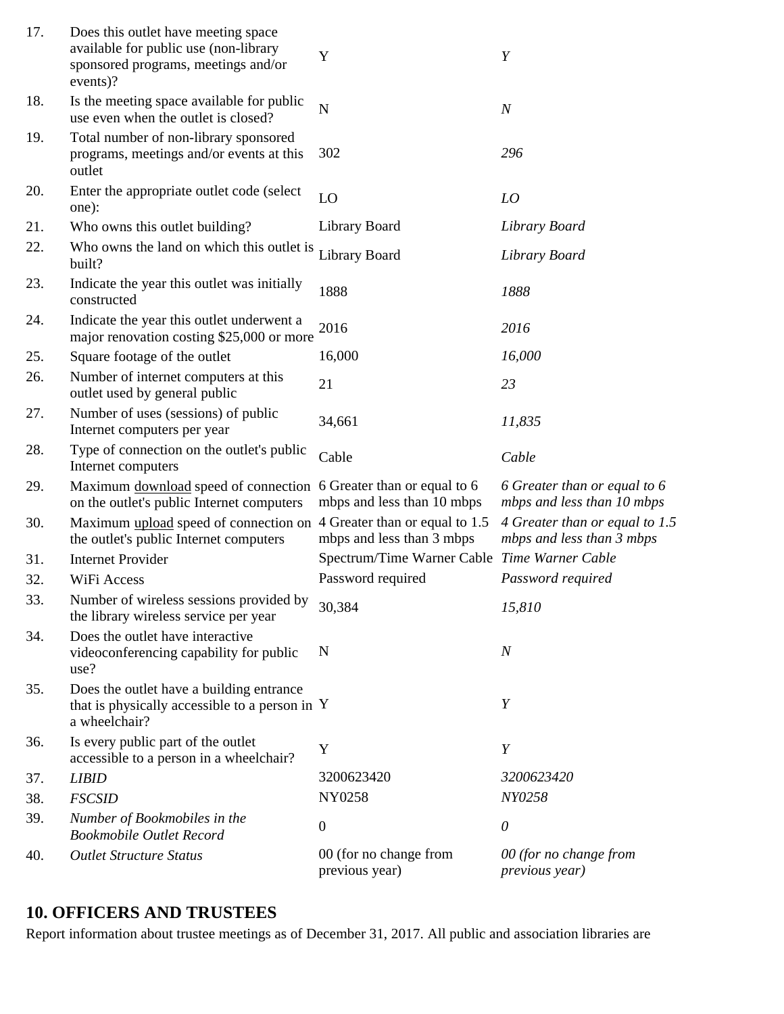| 17. | Does this outlet have meeting space<br>available for public use (non-library<br>sponsored programs, meetings and/or<br>events)? | Y                                                           | Y                                                           |
|-----|---------------------------------------------------------------------------------------------------------------------------------|-------------------------------------------------------------|-------------------------------------------------------------|
| 18. | Is the meeting space available for public<br>use even when the outlet is closed?                                                | N                                                           | $\boldsymbol{N}$                                            |
| 19. | Total number of non-library sponsored<br>programs, meetings and/or events at this<br>outlet                                     | 302                                                         | 296                                                         |
| 20. | Enter the appropriate outlet code (select)<br>one):                                                                             | LO                                                          | LO                                                          |
| 21. | Who owns this outlet building?                                                                                                  | Library Board                                               | Library Board                                               |
| 22. | Who owns the land on which this outlet is<br>built?                                                                             | Library Board                                               | Library Board                                               |
| 23. | Indicate the year this outlet was initially<br>constructed                                                                      | 1888                                                        | 1888                                                        |
| 24. | Indicate the year this outlet underwent a<br>major renovation costing \$25,000 or more                                          | 2016                                                        | 2016                                                        |
| 25. | Square footage of the outlet                                                                                                    | 16,000                                                      | 16,000                                                      |
| 26. | Number of internet computers at this<br>outlet used by general public                                                           | 21                                                          | 23                                                          |
| 27. | Number of uses (sessions) of public<br>Internet computers per year                                                              | 34,661                                                      | 11,835                                                      |
| 28. | Type of connection on the outlet's public<br>Internet computers                                                                 | Cable                                                       | Cable                                                       |
| 29. | Maximum download speed of connection<br>on the outlet's public Internet computers                                               | 6 Greater than or equal to 6<br>mbps and less than 10 mbps  | 6 Greater than or equal to 6<br>mbps and less than 10 mbps  |
| 30. | Maximum upload speed of connection on<br>the outlet's public Internet computers                                                 | 4 Greater than or equal to 1.5<br>mbps and less than 3 mbps | 4 Greater than or equal to 1.5<br>mbps and less than 3 mbps |
| 31. | <b>Internet Provider</b>                                                                                                        | Spectrum/Time Warner Cable Time Warner Cable                |                                                             |
| 32. | WiFi Access                                                                                                                     | Password required                                           | Password required                                           |
| 33. | Number of wireless sessions provided by<br>the library wireless service per year                                                | 30,384                                                      | 15,810                                                      |
| 34. | Does the outlet have interactive<br>videoconferencing capability for public<br>use?                                             | N                                                           | $\boldsymbol{N}$                                            |
| 35. | Does the outlet have a building entrance<br>that is physically accessible to a person in Y<br>a wheelchair?                     |                                                             | Y                                                           |
| 36. | Is every public part of the outlet<br>accessible to a person in a wheelchair?                                                   | Y                                                           | Y                                                           |
| 37. | <b>LIBID</b>                                                                                                                    | 3200623420                                                  | 3200623420                                                  |
| 38. | <b>FSCSID</b>                                                                                                                   | NY0258                                                      | NY0258                                                      |
| 39. | Number of Bookmobiles in the<br><b>Bookmobile Outlet Record</b>                                                                 | $\boldsymbol{0}$                                            | $\theta$                                                    |
| 40. | <b>Outlet Structure Status</b>                                                                                                  | 00 (for no change from<br>previous year)                    | 00 (for no change from<br>previous year)                    |

# **10. OFFICERS AND TRUSTEES**

Report information about trustee meetings as of December 31, 2017. All public and association libraries are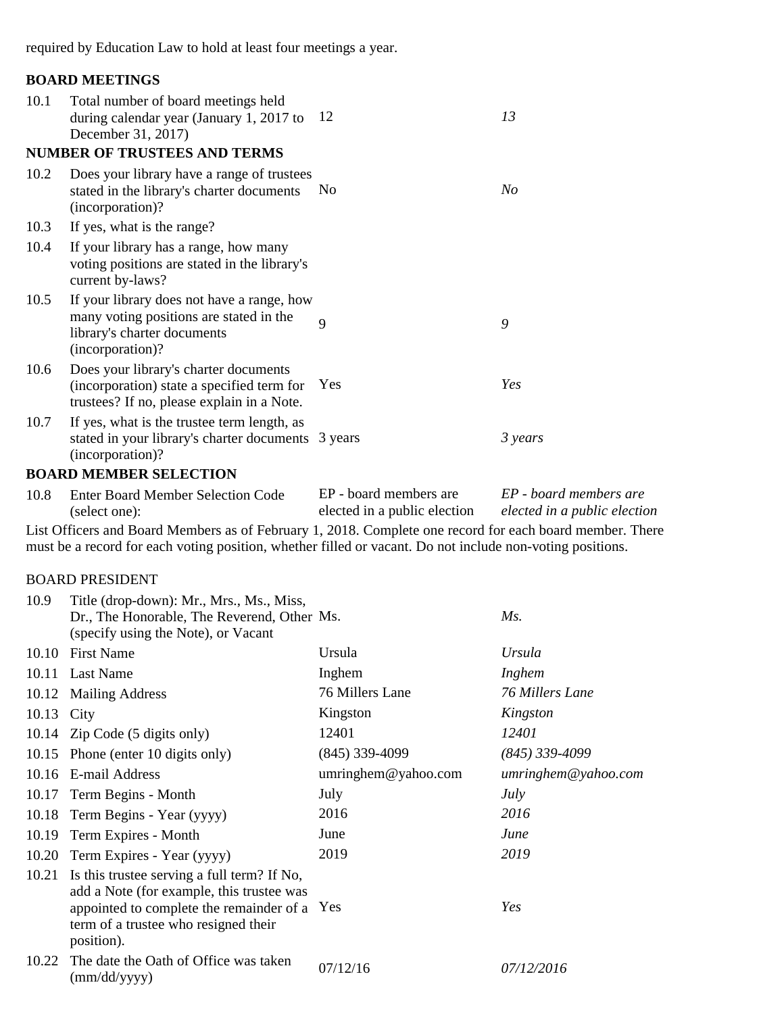required by Education Law to hold at least four meetings a year.

### **BOARD MEETINGS**

| 10.1 | Total number of board meetings held<br>during calendar year (January 1, 2017 to $12$<br>December 31, 2017)                               |                | 13      |
|------|------------------------------------------------------------------------------------------------------------------------------------------|----------------|---------|
|      | <b>NUMBER OF TRUSTEES AND TERMS</b>                                                                                                      |                |         |
| 10.2 | Does your library have a range of trustees<br>stated in the library's charter documents<br>(incorporation)?                              | N <sub>0</sub> | No      |
| 10.3 | If yes, what is the range?                                                                                                               |                |         |
| 10.4 | If your library has a range, how many<br>voting positions are stated in the library's<br>current by-laws?                                |                |         |
| 10.5 | If your library does not have a range, how<br>many voting positions are stated in the<br>library's charter documents<br>(incorporation)? | 9              | 9       |
| 10.6 | Does your library's charter documents<br>(incorporation) state a specified term for<br>trustees? If no, please explain in a Note.        | Yes            | Yes     |
| 10.7 | If yes, what is the trustee term length, as<br>stated in your library's charter documents 3 years<br>(incorporation)?                    |                | 3 years |

### **BOARD MEMBER SELECTION**

| 10.8 | <b>Enter Board Member Selection Code</b> | EP - board members are       | EP - board members are       |
|------|------------------------------------------|------------------------------|------------------------------|
|      | (select one):                            | elected in a public election | elected in a public election |

List Officers and Board Members as of February 1, 2018. Complete one record for each board member. There must be a record for each voting position, whether filled or vacant. Do not include non-voting positions.

#### BOARD PRESIDENT

| 10.9  | Title (drop-down): Mr., Mrs., Ms., Miss,<br>Dr., The Honorable, The Reverend, Other Ms.<br>(specify using the Note), or Vacant                                                                       |                     | Ms.                 |
|-------|------------------------------------------------------------------------------------------------------------------------------------------------------------------------------------------------------|---------------------|---------------------|
| 10.10 | <b>First Name</b>                                                                                                                                                                                    | Ursula              | Ursula              |
|       | 10.11 Last Name                                                                                                                                                                                      | Inghem              | Inghem              |
|       | 10.12 Mailing Address                                                                                                                                                                                | 76 Millers Lane     | 76 Millers Lane     |
| 10.13 | City                                                                                                                                                                                                 | Kingston            | Kingston            |
|       | 10.14 Zip Code (5 digits only)                                                                                                                                                                       | 12401               | <i>12401</i>        |
|       | 10.15 Phone (enter 10 digits only)                                                                                                                                                                   | $(845)$ 339-4099    | (845) 339-4099      |
| 10.16 | E-mail Address                                                                                                                                                                                       | umringhem@yahoo.com | umringhem@yahoo.com |
|       | 10.17 Term Begins - Month                                                                                                                                                                            | July                | July                |
| 10.18 | Term Begins - Year (yyyy)                                                                                                                                                                            | 2016                | 2016                |
| 10.19 | Term Expires - Month                                                                                                                                                                                 | June                | June                |
| 10.20 | Term Expires - Year (yyyy)                                                                                                                                                                           | 2019                | 2019                |
|       | 10.21 Is this trustee serving a full term? If No,<br>add a Note (for example, this trustee was<br>appointed to complete the remainder of a Yes<br>term of a trustee who resigned their<br>position). |                     | Yes                 |
| 10.22 | The date the Oath of Office was taken<br>(mm/dd/yyyy)                                                                                                                                                | 07/12/16            | 07/12/2016          |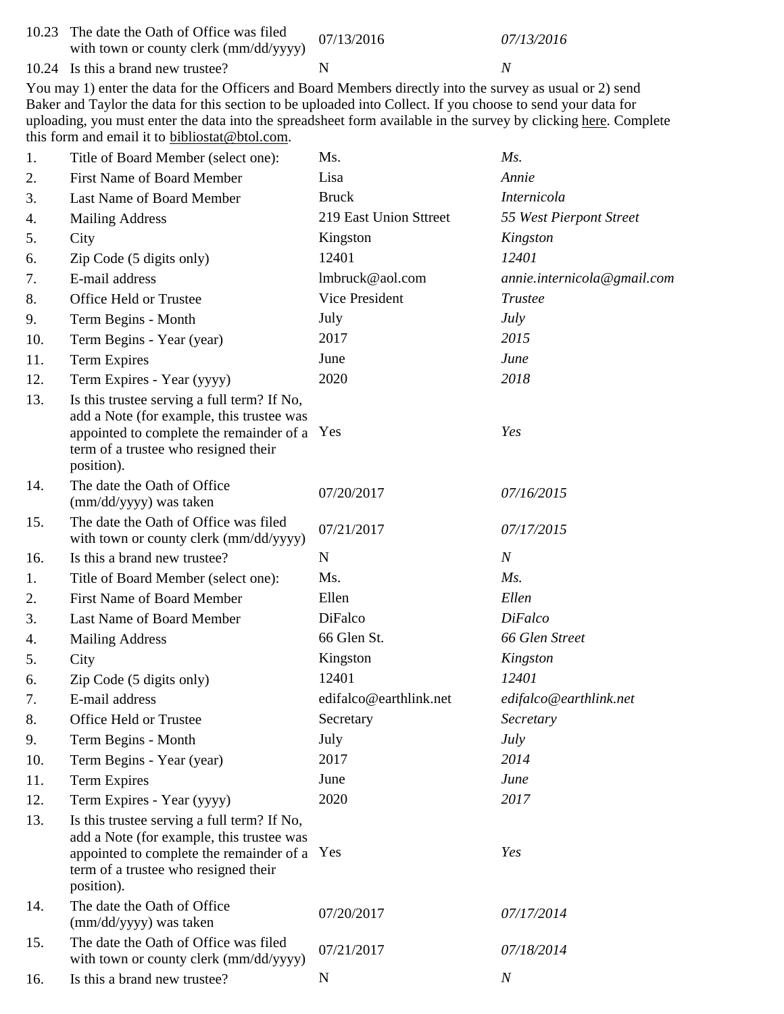10.23 The date the Oath of Office was filed with town or county clerk (mm/dd/yyyy)  $07/13/2016$   $07/13/2016$ 

10.24 Is this a brand new trustee? N N N

You may 1) enter the data for the Officers and Board Members directly into the survey as usual or 2) send Baker and Taylor the data for this section to be uploaded into Collect. If you choose to send your data for uploading, you must enter the data into the spreadsheet form available in the survey by clicking here. Complete this form and email it to bibliostat@btol.com.

| 1.  | Title of Board Member (select one):                                                                                                                                                            | Ms.                    | $M_s$ .                     |
|-----|------------------------------------------------------------------------------------------------------------------------------------------------------------------------------------------------|------------------------|-----------------------------|
| 2.  | First Name of Board Member                                                                                                                                                                     | Lisa                   | Annie                       |
| 3.  | Last Name of Board Member                                                                                                                                                                      | <b>Bruck</b>           | Internicola                 |
| 4.  | <b>Mailing Address</b>                                                                                                                                                                         | 219 East Union Sttreet | 55 West Pierpont Street     |
| 5.  | City                                                                                                                                                                                           | Kingston               | Kingston                    |
| 6.  | Zip Code (5 digits only)                                                                                                                                                                       | 12401                  | 12401                       |
| 7.  | E-mail address                                                                                                                                                                                 | lmbruck@aol.com        | annie.internicola@gmail.com |
| 8.  | Office Held or Trustee                                                                                                                                                                         | Vice President         | <b>Trustee</b>              |
| 9.  | Term Begins - Month                                                                                                                                                                            | July                   | <b>July</b>                 |
| 10. | Term Begins - Year (year)                                                                                                                                                                      | 2017                   | 2015                        |
| 11. | <b>Term Expires</b>                                                                                                                                                                            | June                   | June                        |
| 12. | Term Expires - Year (yyyy)                                                                                                                                                                     | 2020                   | 2018                        |
| 13. | Is this trustee serving a full term? If No,<br>add a Note (for example, this trustee was<br>appointed to complete the remainder of a Yes<br>term of a trustee who resigned their<br>position). |                        | Yes                         |
| 14. | The date the Oath of Office<br>(mm/dd/yyyy) was taken                                                                                                                                          | 07/20/2017             | 07/16/2015                  |
| 15. | The date the Oath of Office was filed<br>with town or county clerk (mm/dd/yyyy)                                                                                                                | 07/21/2017             | 07/17/2015                  |
| 16. | Is this a brand new trustee?                                                                                                                                                                   | $\mathbf N$            | $\overline{N}$              |
| 1.  | Title of Board Member (select one):                                                                                                                                                            | Ms.                    | Ms.                         |
| 2.  | <b>First Name of Board Member</b>                                                                                                                                                              | Ellen                  | Ellen                       |
| 3.  | Last Name of Board Member                                                                                                                                                                      | DiFalco                | <b>DiFalco</b>              |
| 4.  | <b>Mailing Address</b>                                                                                                                                                                         | 66 Glen St.            | 66 Glen Street              |
| 5.  | City                                                                                                                                                                                           | Kingston               | Kingston                    |
| 6.  | Zip Code (5 digits only)                                                                                                                                                                       | 12401                  | 12401                       |
| 7.  | E-mail address                                                                                                                                                                                 | edifalco@earthlink.net | edifalco@earthlink.net      |
| 8.  | Office Held or Trustee                                                                                                                                                                         | Secretary              | Secretary                   |
| 9.  | Term Begins - Month                                                                                                                                                                            | July                   | <i>July</i>                 |
| 10. | Term Begins - Year (year)                                                                                                                                                                      | 2017                   | 2014                        |
| 11. | <b>Term Expires</b>                                                                                                                                                                            | June                   | June                        |
| 12. | Term Expires - Year (yyyy)                                                                                                                                                                     | 2020                   | 2017                        |
| 13. | Is this trustee serving a full term? If No,<br>add a Note (for example, this trustee was<br>appointed to complete the remainder of a Yes<br>term of a trustee who resigned their<br>position). |                        | Yes                         |
| 14. | The date the Oath of Office<br>(mm/dd/yyyy) was taken                                                                                                                                          | 07/20/2017             | 07/17/2014                  |
| 15. | The date the Oath of Office was filed<br>with town or county clerk (mm/dd/yyyy)                                                                                                                | 07/21/2017             | 07/18/2014                  |
| 16. | Is this a brand new trustee?                                                                                                                                                                   | N                      | $\boldsymbol{N}$            |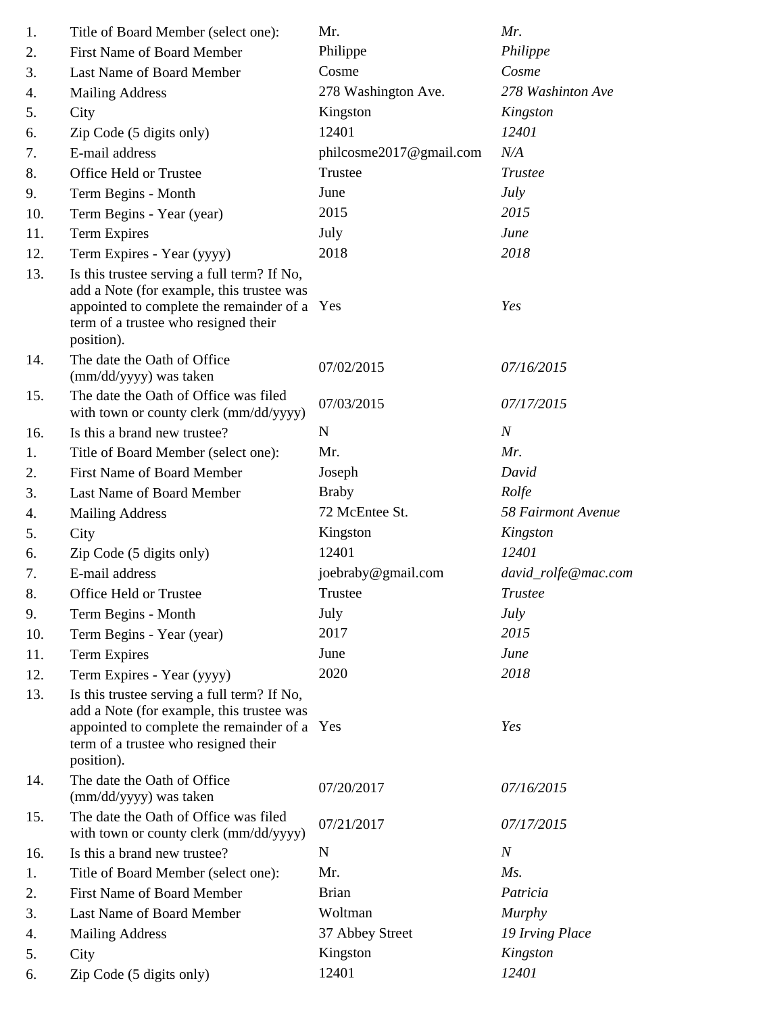| 1.  | Title of Board Member (select one):                                                                                                                                                            | Mr.                     | Mr.                 |
|-----|------------------------------------------------------------------------------------------------------------------------------------------------------------------------------------------------|-------------------------|---------------------|
| 2.  | <b>First Name of Board Member</b>                                                                                                                                                              | Philippe                | Philippe            |
| 3.  | Last Name of Board Member                                                                                                                                                                      | Cosme                   | Cosme               |
| 4.  | <b>Mailing Address</b>                                                                                                                                                                         | 278 Washington Ave.     | 278 Washinton Ave   |
| 5.  | City                                                                                                                                                                                           | Kingston                | Kingston            |
| 6.  | Zip Code (5 digits only)                                                                                                                                                                       | 12401                   | 12401               |
| 7.  | E-mail address                                                                                                                                                                                 | philcosme2017@gmail.com | N/A                 |
| 8.  | Office Held or Trustee                                                                                                                                                                         | Trustee                 | <b>Trustee</b>      |
| 9.  | Term Begins - Month                                                                                                                                                                            | June                    | July                |
| 10. | Term Begins - Year (year)                                                                                                                                                                      | 2015                    | 2015                |
| 11. | <b>Term Expires</b>                                                                                                                                                                            | July                    | June                |
| 12. | Term Expires - Year (yyyy)                                                                                                                                                                     | 2018                    | 2018                |
| 13. | Is this trustee serving a full term? If No,<br>add a Note (for example, this trustee was<br>appointed to complete the remainder of a Yes<br>term of a trustee who resigned their<br>position). |                         | Yes                 |
| 14. | The date the Oath of Office<br>(mm/dd/yyyy) was taken                                                                                                                                          | 07/02/2015              | 07/16/2015          |
| 15. | The date the Oath of Office was filed<br>with town or county clerk (mm/dd/yyyy)                                                                                                                | 07/03/2015              | 07/17/2015          |
| 16. | Is this a brand new trustee?                                                                                                                                                                   | ${\bf N}$               | $\boldsymbol{N}$    |
| 1.  | Title of Board Member (select one):                                                                                                                                                            | Mr.                     | Mr.                 |
| 2.  | <b>First Name of Board Member</b>                                                                                                                                                              | Joseph                  | David               |
| 3.  | Last Name of Board Member                                                                                                                                                                      | <b>Braby</b>            | Rolfe               |
| 4.  | <b>Mailing Address</b>                                                                                                                                                                         | 72 McEntee St.          | 58 Fairmont Avenue  |
| 5.  | City                                                                                                                                                                                           | Kingston                | Kingston            |
| 6.  | Zip Code (5 digits only)                                                                                                                                                                       | 12401                   | 12401               |
| 7.  | E-mail address                                                                                                                                                                                 | joebraby@gmail.com      | david_rolfe@mac.com |
| 8.  | Office Held or Trustee                                                                                                                                                                         | Trustee                 | <b>Trustee</b>      |
| 9.  | Term Begins - Month                                                                                                                                                                            | July                    | July                |
| 10. | Term Begins - Year (year)                                                                                                                                                                      | 2017                    | 2015                |
| 11. | <b>Term Expires</b>                                                                                                                                                                            | June                    | June                |
| 12. | Term Expires - Year (yyyy)                                                                                                                                                                     | 2020                    | 2018                |
| 13. | Is this trustee serving a full term? If No,<br>add a Note (for example, this trustee was<br>appointed to complete the remainder of a Yes<br>term of a trustee who resigned their<br>position). |                         | Yes                 |
| 14. | The date the Oath of Office<br>(mm/dd/yyyy) was taken                                                                                                                                          | 07/20/2017              | 07/16/2015          |
| 15. | The date the Oath of Office was filed<br>with town or county clerk (mm/dd/yyyy)                                                                                                                | 07/21/2017              | 07/17/2015          |
| 16. | Is this a brand new trustee?                                                                                                                                                                   | $\mathbf N$             | $\boldsymbol{N}$    |
| 1.  | Title of Board Member (select one):                                                                                                                                                            | Mr.                     | Ms.                 |
| 2.  | First Name of Board Member                                                                                                                                                                     | <b>Brian</b>            | Patricia            |
| 3.  | Last Name of Board Member                                                                                                                                                                      | Woltman                 | <b>Murphy</b>       |
| 4.  | <b>Mailing Address</b>                                                                                                                                                                         | 37 Abbey Street         | 19 Irving Place     |
| 5.  | City                                                                                                                                                                                           | Kingston                | Kingston            |
| 6.  | Zip Code (5 digits only)                                                                                                                                                                       | 12401                   | 12401               |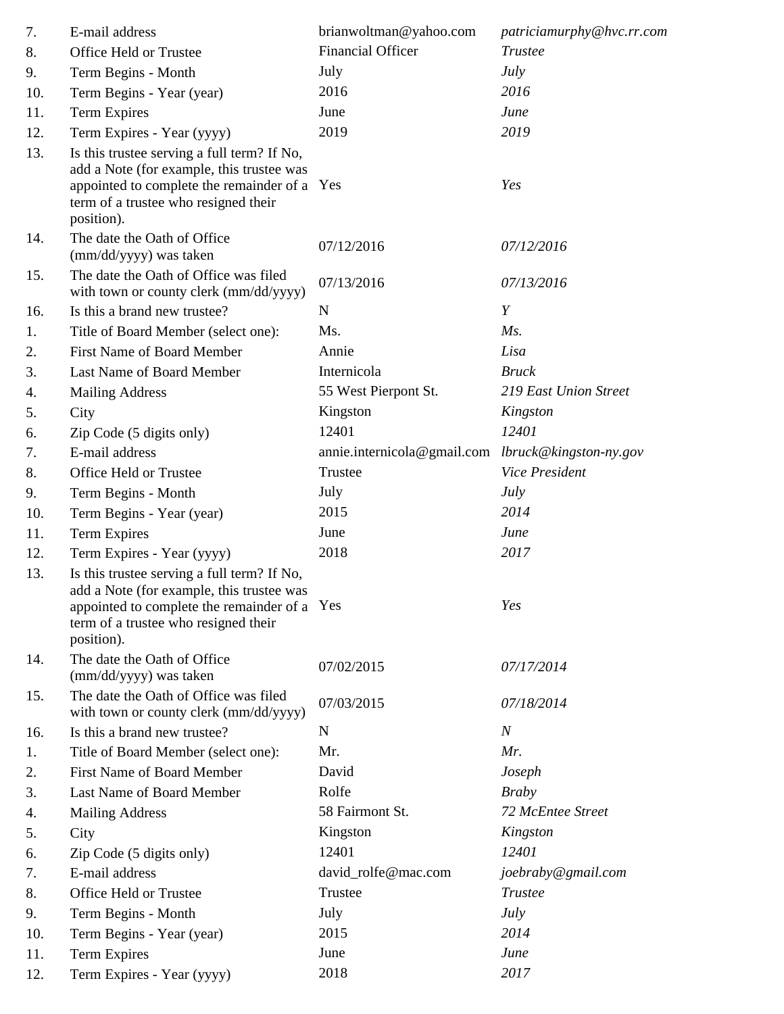| 8.<br>9.<br>10.<br>11.<br>12.<br>13. | Office Held or Trustee<br>Term Begins - Month<br>Term Begins - Year (year)<br><b>Term Expires</b><br>Term Expires - Year (yyyy)<br>Is this trustee serving a full term? If No,<br>add a Note (for example, this trustee was<br>appointed to complete the remainder of a Yes<br>term of a trustee who resigned their<br>position).<br>The date the Oath of Office<br>(mm/dd/yyyy) was taken | <b>Financial Officer</b><br>July<br>2016<br>June<br>2019 | <b>Trustee</b><br>July<br>2016<br>June<br>2019<br>Yes |
|--------------------------------------|--------------------------------------------------------------------------------------------------------------------------------------------------------------------------------------------------------------------------------------------------------------------------------------------------------------------------------------------------------------------------------------------|----------------------------------------------------------|-------------------------------------------------------|
|                                      |                                                                                                                                                                                                                                                                                                                                                                                            |                                                          |                                                       |
|                                      |                                                                                                                                                                                                                                                                                                                                                                                            |                                                          |                                                       |
|                                      |                                                                                                                                                                                                                                                                                                                                                                                            |                                                          |                                                       |
|                                      |                                                                                                                                                                                                                                                                                                                                                                                            |                                                          |                                                       |
|                                      |                                                                                                                                                                                                                                                                                                                                                                                            |                                                          |                                                       |
|                                      |                                                                                                                                                                                                                                                                                                                                                                                            |                                                          |                                                       |
| 14.                                  |                                                                                                                                                                                                                                                                                                                                                                                            | 07/12/2016                                               | 07/12/2016                                            |
| 15.                                  | The date the Oath of Office was filed<br>with town or county clerk (mm/dd/yyyy)                                                                                                                                                                                                                                                                                                            | 07/13/2016                                               | 07/13/2016                                            |
| 16.                                  | Is this a brand new trustee?                                                                                                                                                                                                                                                                                                                                                               | $\mathbf N$                                              | Y                                                     |
| 1.                                   | Title of Board Member (select one):                                                                                                                                                                                                                                                                                                                                                        | Ms.                                                      | $Ms$ .                                                |
| 2.                                   | <b>First Name of Board Member</b>                                                                                                                                                                                                                                                                                                                                                          | Annie                                                    | Lisa                                                  |
| 3.                                   | Last Name of Board Member                                                                                                                                                                                                                                                                                                                                                                  | Internicola                                              | <b>Bruck</b>                                          |
| 4.                                   | <b>Mailing Address</b>                                                                                                                                                                                                                                                                                                                                                                     | 55 West Pierpont St.                                     | 219 East Union Street                                 |
| 5.                                   | City                                                                                                                                                                                                                                                                                                                                                                                       | Kingston                                                 | Kingston                                              |
| 6.                                   | Zip Code (5 digits only)                                                                                                                                                                                                                                                                                                                                                                   | 12401                                                    | 12401                                                 |
| 7.                                   | E-mail address                                                                                                                                                                                                                                                                                                                                                                             | annie.internicola@gmail.com lbruck@kingston-ny.gov       |                                                       |
| 8.                                   | Office Held or Trustee                                                                                                                                                                                                                                                                                                                                                                     | Trustee                                                  | Vice President                                        |
| 9.                                   | Term Begins - Month                                                                                                                                                                                                                                                                                                                                                                        | July                                                     | July                                                  |
| 10.                                  | Term Begins - Year (year)                                                                                                                                                                                                                                                                                                                                                                  | 2015                                                     | 2014                                                  |
| 11.                                  | <b>Term Expires</b>                                                                                                                                                                                                                                                                                                                                                                        | June                                                     | June                                                  |
| 12.                                  | Term Expires - Year (yyyy)                                                                                                                                                                                                                                                                                                                                                                 | 2018                                                     | 2017                                                  |
| 13.                                  | Is this trustee serving a full term? If No,<br>add a Note (for example, this trustee was<br>appointed to complete the remainder of a Yes<br>term of a trustee who resigned their<br>position).                                                                                                                                                                                             |                                                          | Yes                                                   |
| 14.                                  | The date the Oath of Office<br>(mm/dd/yyyy) was taken                                                                                                                                                                                                                                                                                                                                      | 07/02/2015                                               | 07/17/2014                                            |
| 15.                                  | The date the Oath of Office was filed<br>with town or county clerk (mm/dd/yyyy)                                                                                                                                                                                                                                                                                                            | 07/03/2015                                               | 07/18/2014                                            |
| 16.                                  | Is this a brand new trustee?                                                                                                                                                                                                                                                                                                                                                               | N                                                        | $\boldsymbol{N}$                                      |
| 1.                                   | Title of Board Member (select one):                                                                                                                                                                                                                                                                                                                                                        | Mr.                                                      | Mr.                                                   |
| 2.                                   | <b>First Name of Board Member</b>                                                                                                                                                                                                                                                                                                                                                          | David                                                    | Joseph                                                |
| 3.                                   | Last Name of Board Member                                                                                                                                                                                                                                                                                                                                                                  | Rolfe                                                    | <b>Braby</b>                                          |
| 4.                                   | <b>Mailing Address</b>                                                                                                                                                                                                                                                                                                                                                                     | 58 Fairmont St.                                          | 72 McEntee Street                                     |
| 5.                                   | City                                                                                                                                                                                                                                                                                                                                                                                       | Kingston                                                 | Kingston                                              |
| 6.                                   | Zip Code (5 digits only)                                                                                                                                                                                                                                                                                                                                                                   | 12401                                                    | 12401                                                 |
| 7.                                   | E-mail address                                                                                                                                                                                                                                                                                                                                                                             | david_rolfe@mac.com                                      | joebraby@gmail.com                                    |
| 8.                                   | Office Held or Trustee                                                                                                                                                                                                                                                                                                                                                                     | Trustee                                                  | <b>Trustee</b>                                        |
| 9.                                   | Term Begins - Month                                                                                                                                                                                                                                                                                                                                                                        | July                                                     | <b>July</b>                                           |
| 10.                                  | Term Begins - Year (year)                                                                                                                                                                                                                                                                                                                                                                  | 2015                                                     | 2014                                                  |
| 11.                                  | <b>Term Expires</b>                                                                                                                                                                                                                                                                                                                                                                        | June                                                     | June                                                  |
| 12.                                  | Term Expires - Year (yyyy)                                                                                                                                                                                                                                                                                                                                                                 | 2018                                                     | 2017                                                  |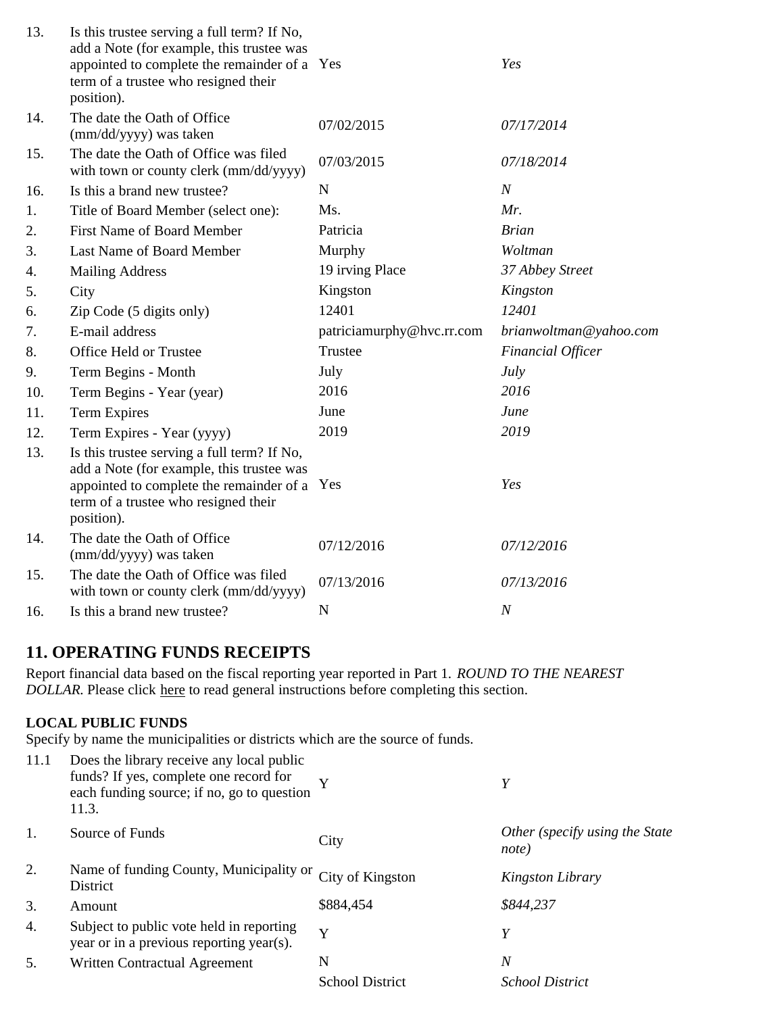| 13. | Is this trustee serving a full term? If No,<br>add a Note (for example, this trustee was<br>appointed to complete the remainder of a Yes<br>term of a trustee who resigned their<br>position). |                           | Yes                      |
|-----|------------------------------------------------------------------------------------------------------------------------------------------------------------------------------------------------|---------------------------|--------------------------|
| 14. | The date the Oath of Office<br>(mm/dd/yyyy) was taken                                                                                                                                          | 07/02/2015                | 07/17/2014               |
| 15. | The date the Oath of Office was filed<br>with town or county clerk (mm/dd/yyyy)                                                                                                                | 07/03/2015                | 07/18/2014               |
| 16. | Is this a brand new trustee?                                                                                                                                                                   | $\mathbf N$               | $\boldsymbol{N}$         |
| 1.  | Title of Board Member (select one):                                                                                                                                                            | Ms.                       | Mr.                      |
| 2.  | <b>First Name of Board Member</b>                                                                                                                                                              | Patricia                  | <b>Brian</b>             |
| 3.  | Last Name of Board Member                                                                                                                                                                      | Murphy                    | Woltman                  |
| 4.  | <b>Mailing Address</b>                                                                                                                                                                         | 19 irving Place           | 37 Abbey Street          |
| 5.  | City                                                                                                                                                                                           | Kingston                  | Kingston                 |
| 6.  | Zip Code (5 digits only)                                                                                                                                                                       | 12401                     | 12401                    |
| 7.  | E-mail address                                                                                                                                                                                 | patriciamurphy@hvc.rr.com | brianwoltman@yahoo.com   |
| 8.  | Office Held or Trustee                                                                                                                                                                         | Trustee                   | <b>Financial Officer</b> |
| 9.  | Term Begins - Month                                                                                                                                                                            | July                      | July                     |
| 10. | Term Begins - Year (year)                                                                                                                                                                      | 2016                      | 2016                     |
| 11. | <b>Term Expires</b>                                                                                                                                                                            | June                      | June                     |
| 12. | Term Expires - Year (yyyy)                                                                                                                                                                     | 2019                      | 2019                     |
| 13. | Is this trustee serving a full term? If No,<br>add a Note (for example, this trustee was<br>appointed to complete the remainder of a Yes<br>term of a trustee who resigned their<br>position). |                           | Yes                      |
| 14. | The date the Oath of Office<br>(mm/dd/yyyy) was taken                                                                                                                                          | 07/12/2016                | 07/12/2016               |
| 15. | The date the Oath of Office was filed<br>with town or county clerk (mm/dd/yyyy)                                                                                                                | 07/13/2016                | 07/13/2016               |
| 16. | Is this a brand new trustee?                                                                                                                                                                   | N                         | $\boldsymbol{N}$         |

# **11. OPERATING FUNDS RECEIPTS**

Report financial data based on the fiscal reporting year reported in Part 1. *ROUND TO THE NEAREST DOLLAR.* Please click here to read general instructions before completing this section.

## **LOCAL PUBLIC FUNDS**

Specify by name the municipalities or districts which are the source of funds.

| 11.1 | Does the library receive any local public<br>funds? If yes, complete one record for<br>each funding source; if no, go to question<br>11.3. | Y                      | Y                                       |
|------|--------------------------------------------------------------------------------------------------------------------------------------------|------------------------|-----------------------------------------|
| 1.   | Source of Funds                                                                                                                            | City                   | Other (specify using the State<br>note) |
| 2.   | Name of funding County, Municipality or<br>District                                                                                        | City of Kingston       | Kingston Library                        |
| 3.   | Amount                                                                                                                                     | \$884,454              | \$844,237                               |
| 4.   | Subject to public vote held in reporting<br>year or in a previous reporting year(s).                                                       | Y                      | Y                                       |
| 5.   | Written Contractual Agreement                                                                                                              | N                      | $\overline{N}$                          |
|      |                                                                                                                                            | <b>School District</b> | <i>School District</i>                  |
|      |                                                                                                                                            |                        |                                         |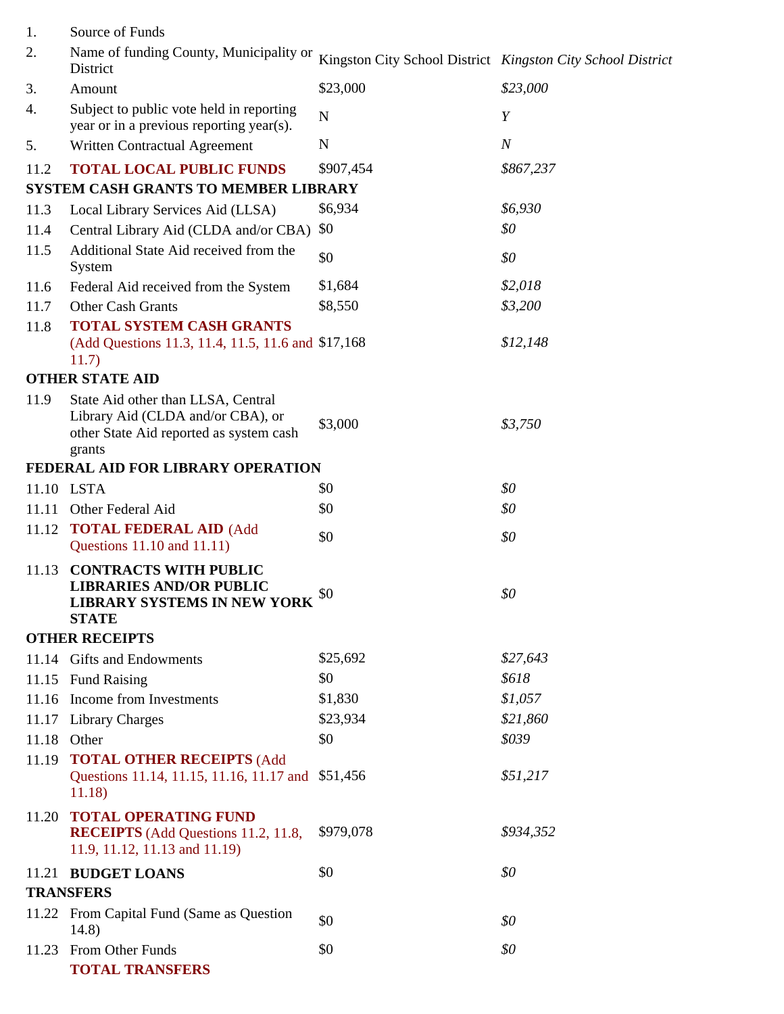| 1.    | Source of Funds                                                                                                              |                                                             |                  |
|-------|------------------------------------------------------------------------------------------------------------------------------|-------------------------------------------------------------|------------------|
| 2.    | Name of funding County, Municipality or<br>District                                                                          | Kingston City School District Kingston City School District |                  |
| 3.    | Amount                                                                                                                       | \$23,000                                                    | \$23,000         |
| 4.    | Subject to public vote held in reporting<br>year or in a previous reporting year(s).                                         | N                                                           | Y                |
| 5.    | Written Contractual Agreement                                                                                                | N                                                           | $\boldsymbol{N}$ |
| 11.2  | <b>TOTAL LOCAL PUBLIC FUNDS</b>                                                                                              | \$907,454                                                   | \$867,237        |
|       | <b>SYSTEM CASH GRANTS TO MEMBER LIBRARY</b>                                                                                  |                                                             |                  |
| 11.3  | Local Library Services Aid (LLSA)                                                                                            | \$6,934                                                     | \$6,930          |
| 11.4  | Central Library Aid (CLDA and/or CBA)                                                                                        | \$0                                                         | \$0              |
| 11.5  | Additional State Aid received from the<br>System                                                                             | \$0                                                         | \$0              |
| 11.6  | Federal Aid received from the System                                                                                         | \$1,684                                                     | \$2,018          |
| 11.7  | Other Cash Grants                                                                                                            | \$8,550                                                     | \$3,200          |
| 11.8  | <b>TOTAL SYSTEM CASH GRANTS</b><br>(Add Questions 11.3, 11.4, 11.5, 11.6 and \$17,168)<br>11.7)                              |                                                             | \$12,148         |
|       | <b>OTHER STATE AID</b>                                                                                                       |                                                             |                  |
| 11.9  | State Aid other than LLSA, Central<br>Library Aid (CLDA and/or CBA), or<br>other State Aid reported as system cash<br>grants | \$3,000                                                     | \$3,750          |
|       | FEDERAL AID FOR LIBRARY OPERATION                                                                                            |                                                             |                  |
|       | 11.10 LSTA                                                                                                                   | \$0                                                         | \$0              |
|       | 11.11 Other Federal Aid                                                                                                      | \$0                                                         | \$0              |
| 11.12 | <b>TOTAL FEDERAL AID (Add</b><br>Questions 11.10 and 11.11)                                                                  | \$0                                                         | \$0              |
| 11.13 | <b>CONTRACTS WITH PUBLIC</b><br><b>LIBRARIES AND/OR PUBLIC</b><br><b>LIBRARY SYSTEMS IN NEW YORK</b><br><b>STATE</b>         | \$0                                                         | \$0              |
|       | <b>OTHER RECEIPTS</b>                                                                                                        |                                                             |                  |
|       | 11.14 Gifts and Endowments                                                                                                   | \$25,692                                                    | \$27,643         |
|       | 11.15 Fund Raising                                                                                                           | \$0                                                         | \$618            |
|       | 11.16 Income from Investments                                                                                                | \$1,830                                                     | \$1,057          |
|       | 11.17 Library Charges                                                                                                        | \$23,934                                                    | \$21,860         |
| 11.18 | Other                                                                                                                        | \$0                                                         | \$039            |
|       | 11.19 TOTAL OTHER RECEIPTS (Add<br>Questions 11.14, 11.15, 11.16, 11.17 and<br>11.18                                         | \$51,456                                                    | \$51,217         |
| 11.20 | <b>TOTAL OPERATING FUND</b><br><b>RECEIPTS</b> (Add Questions 11.2, 11.8,<br>11.9, 11.12, 11.13 and 11.19)                   | \$979,078                                                   | \$934,352        |
|       | 11.21 BUDGET LOANS                                                                                                           | \$0                                                         | \$0              |
|       | <b>TRANSFERS</b>                                                                                                             |                                                             |                  |
|       | 11.22 From Capital Fund (Same as Question<br>14.8)                                                                           | \$0                                                         | \$0              |
| 11.23 | From Other Funds<br><b>TOTAL TRANSFERS</b>                                                                                   | \$0                                                         | \$0              |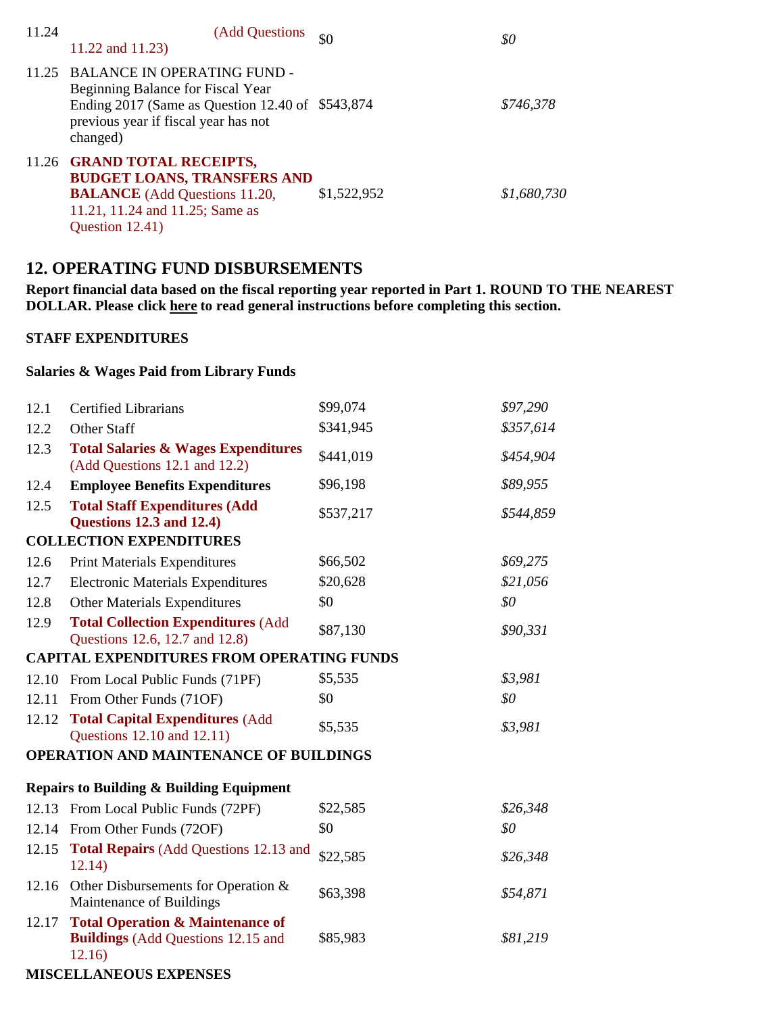| 11.24 | (Add Questions)<br>11.22 and 11.23)                                                                                                                                               | \$0         | \$0         |
|-------|-----------------------------------------------------------------------------------------------------------------------------------------------------------------------------------|-------------|-------------|
|       | 11.25 BALANCE IN OPERATING FUND -<br>Beginning Balance for Fiscal Year<br>Ending 2017 (Same as Question 12.40 of $$543,874$ )<br>previous year if fiscal year has not<br>changed) |             | \$746,378   |
|       | 11.26 GRAND TOTAL RECEIPTS,<br><b>BUDGET LOANS, TRANSFERS AND</b><br><b>BALANCE</b> (Add Questions 11.20,<br>11.21, 11.24 and 11.25; Same as<br>Question 12.41)                   | \$1,522,952 | \$1,680,730 |

## **12. OPERATING FUND DISBURSEMENTS**

**Report financial data based on the fiscal reporting year reported in Part 1. ROUND TO THE NEAREST DOLLAR. Please click here to read general instructions before completing this section.**

#### **STAFF EXPENDITURES**

### **Salaries & Wages Paid from Library Funds**

| 12.1                                                | <b>Certified Librarians</b>                                                                        | \$99,074  | \$97,290                     |
|-----------------------------------------------------|----------------------------------------------------------------------------------------------------|-----------|------------------------------|
| 12.2                                                | <b>Other Staff</b>                                                                                 | \$341,945 | \$357,614                    |
| 12.3                                                | <b>Total Salaries &amp; Wages Expenditures</b><br>(Add Questions 12.1 and 12.2)                    | \$441,019 | \$454,904                    |
| 12.4                                                | <b>Employee Benefits Expenditures</b>                                                              | \$96,198  | \$89,955                     |
| 12.5                                                | <b>Total Staff Expenditures (Add</b><br><b>Questions 12.3 and 12.4)</b>                            | \$537,217 | \$544,859                    |
|                                                     | <b>COLLECTION EXPENDITURES</b>                                                                     |           |                              |
| 12.6                                                | <b>Print Materials Expenditures</b>                                                                | \$66,502  | \$69,275                     |
| 12.7                                                | <b>Electronic Materials Expenditures</b>                                                           | \$20,628  | \$21,056                     |
| 12.8                                                | <b>Other Materials Expenditures</b>                                                                | \$0       | $\mathcal{S}^{\prime\prime}$ |
| 12.9                                                | <b>Total Collection Expenditures (Add</b><br>Questions 12.6, 12.7 and 12.8)                        | \$87,130  | \$90,331                     |
|                                                     | <b>CAPITAL EXPENDITURES FROM OPERATING FUNDS</b>                                                   |           |                              |
| 12.10                                               | From Local Public Funds (71PF)                                                                     | \$5,535   | \$3,981                      |
| 12.11                                               | From Other Funds (71OF)                                                                            | \$0       | \$0                          |
| 12.12                                               | <b>Total Capital Expenditures (Add</b><br>Questions 12.10 and 12.11)                               | \$5,535   | \$3,981                      |
| <b>OPERATION AND MAINTENANCE OF BUILDINGS</b>       |                                                                                                    |           |                              |
| <b>Repairs to Building &amp; Building Equipment</b> |                                                                                                    |           |                              |
|                                                     | 12.13 From Local Public Funds (72PF)                                                               | \$22,585  | \$26,348                     |
| 12.14                                               | From Other Funds (72OF)                                                                            | \$0       | \$0                          |
| 12.15                                               | <b>Total Repairs (Add Questions 12.13 and</b><br>12.14)                                            | \$22,585  | \$26,348                     |
| 12.16                                               | Other Disbursements for Operation &<br>Maintenance of Buildings                                    | \$63,398  | \$54,871                     |
| 12.17                                               | <b>Total Operation &amp; Maintenance of</b><br><b>Buildings</b> (Add Questions 12.15 and<br>12.16) | \$85,983  | \$81,219                     |
| <b>MISCELLANEOUS EXPENSES</b>                       |                                                                                                    |           |                              |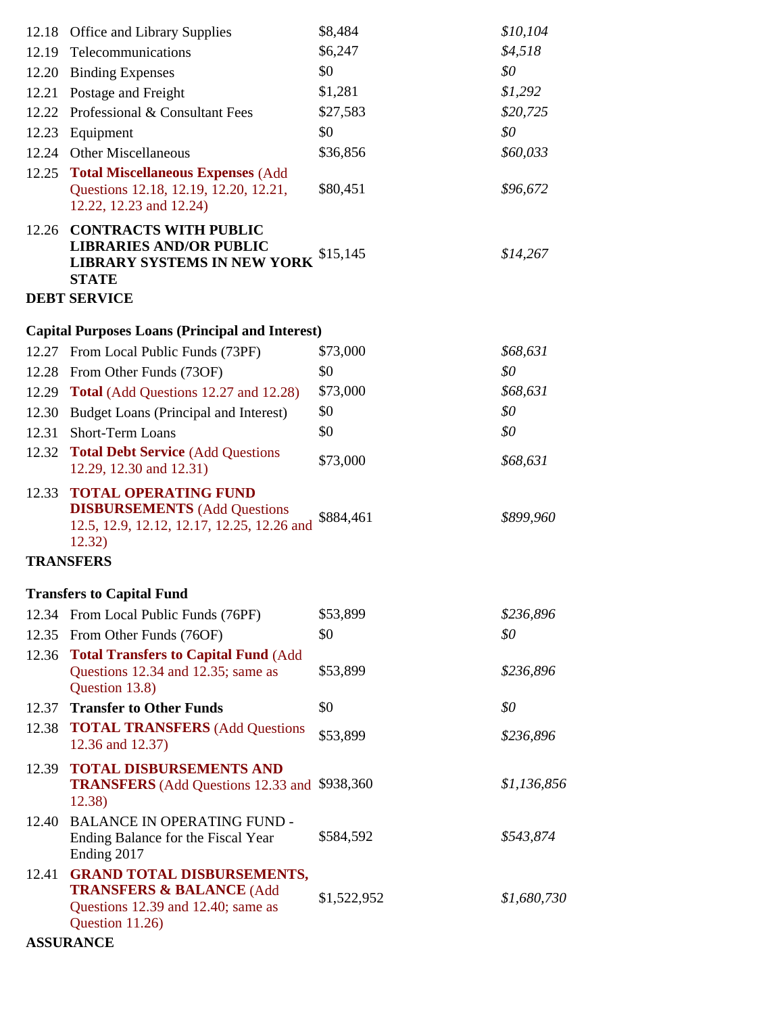|       | 12.18 Office and Library Supplies                                                                                                 | \$8,484     | \$10,104    |
|-------|-----------------------------------------------------------------------------------------------------------------------------------|-------------|-------------|
|       | 12.19 Telecommunications                                                                                                          | \$6,247     | \$4,518     |
| 12.20 | <b>Binding Expenses</b>                                                                                                           | \$0         | \$0         |
| 12.21 | Postage and Freight                                                                                                               | \$1,281     | \$1,292     |
|       | 12.22 Professional & Consultant Fees                                                                                              | \$27,583    | \$20,725    |
| 12.23 | Equipment                                                                                                                         | \$0         | \$0         |
| 12.24 | Other Miscellaneous                                                                                                               | \$36,856    | \$60,033    |
| 12.25 | <b>Total Miscellaneous Expenses (Add</b>                                                                                          |             |             |
|       | Questions 12.18, 12.19, 12.20, 12.21,<br>12.22, 12.23 and 12.24)                                                                  | \$80,451    | \$96,672    |
|       | 12.26 CONTRACTS WITH PUBLIC<br><b>LIBRARIES AND/OR PUBLIC</b><br>LIBRARY SYSTEMS IN NEW YORK<br><b>STATE</b>                      | \$15,145    | \$14,267    |
|       | <b>DEBT SERVICE</b>                                                                                                               |             |             |
|       | <b>Capital Purposes Loans (Principal and Interest)</b>                                                                            |             |             |
|       | 12.27 From Local Public Funds (73PF)                                                                                              | \$73,000    | \$68,631    |
|       | 12.28 From Other Funds (73OF)                                                                                                     | \$0         | \$0         |
|       | 12.29 Total (Add Questions 12.27 and 12.28)                                                                                       | \$73,000    | \$68,631    |
| 12.30 | Budget Loans (Principal and Interest)                                                                                             | \$0         | \$0         |
| 12.31 | <b>Short-Term Loans</b>                                                                                                           | \$0         | \$0         |
|       | 12.32 Total Debt Service (Add Questions<br>12.29, 12.30 and 12.31)                                                                | \$73,000    | \$68,631    |
| 12.33 | <b>TOTAL OPERATING FUND</b><br><b>DISBURSEMENTS</b> (Add Questions<br>12.5, 12.9, 12.12, 12.17, 12.25, 12.26 and<br>12.32)        | \$884,461   | \$899,960   |
|       | <b>TRANSFERS</b>                                                                                                                  |             |             |
|       | <b>Transfers to Capital Fund</b>                                                                                                  |             |             |
|       | 12.34 From Local Public Funds (76PF)                                                                                              | \$53,899    | \$236,896   |
|       | 12.35 From Other Funds (76OF)                                                                                                     | \$0         | \$0         |
| 12.36 | <b>Total Transfers to Capital Fund (Add)</b>                                                                                      |             |             |
|       | Questions 12.34 and 12.35; same as<br>Question 13.8)                                                                              | \$53,899    | \$236,896   |
| 12.37 | <b>Transfer to Other Funds</b>                                                                                                    | \$0         | \$0         |
|       | 12.38 TOTAL TRANSFERS (Add Questions<br>12.36 and 12.37)                                                                          | \$53,899    | \$236,896   |
| 12.39 | <b>TOTAL DISBURSEMENTS AND</b><br><b>TRANSFERS</b> (Add Questions 12.33 and \$938,360)<br>12.38)                                  |             | \$1,136,856 |
| 12.40 | <b>BALANCE IN OPERATING FUND -</b><br>Ending Balance for the Fiscal Year<br>Ending 2017                                           | \$584,592   | \$543,874   |
| 12.41 | <b>GRAND TOTAL DISBURSEMENTS,</b><br><b>TRANSFERS &amp; BALANCE (Add</b><br>Questions 12.39 and 12.40; same as<br>Question 11.26) | \$1,522,952 | \$1,680,730 |
|       | <b>ASSURANCE</b>                                                                                                                  |             |             |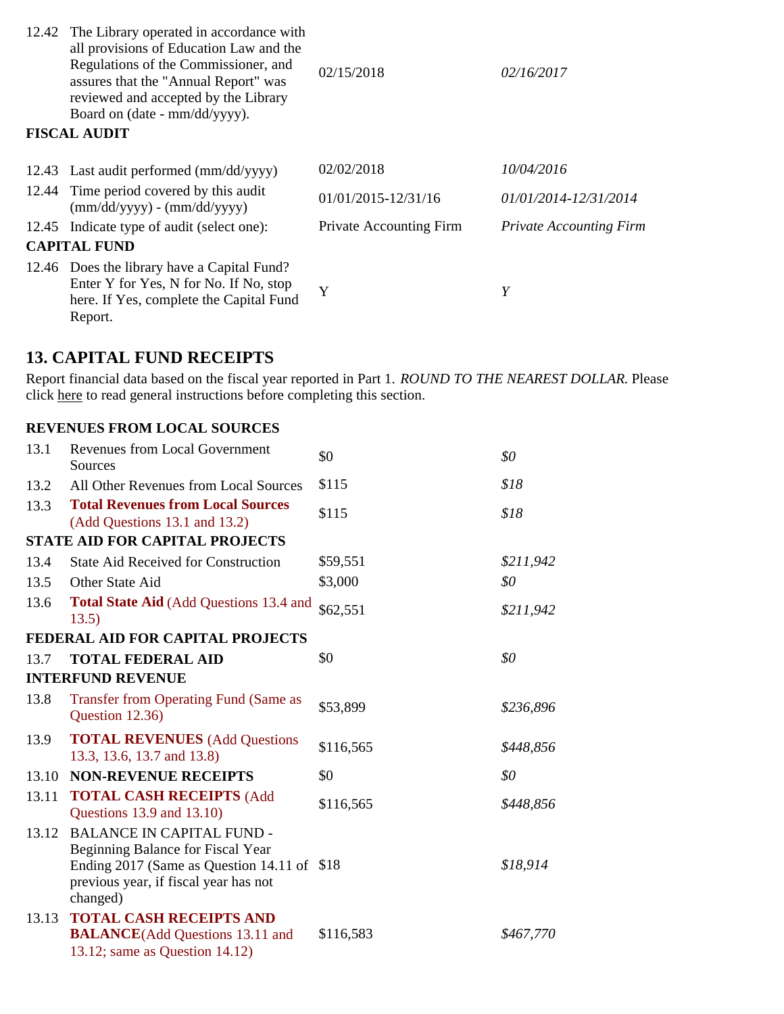| 12.42 The Library operated in accordance with<br>all provisions of Education Law and the<br>Regulations of the Commissioner, and<br>assures that the "Annual Report" was<br>reviewed and accepted by the Library<br>Board on (date - mm/dd/yyyy).<br><b>FISCAL AUDIT</b> | 02/15/2018                     | 02/16/2017                     |
|--------------------------------------------------------------------------------------------------------------------------------------------------------------------------------------------------------------------------------------------------------------------------|--------------------------------|--------------------------------|
|                                                                                                                                                                                                                                                                          |                                |                                |
| 12.43 Last audit performed (mm/dd/yyyy)                                                                                                                                                                                                                                  | 02/02/2018                     | 10/04/2016                     |
| 12.44 Time period covered by this audit<br>$(mm/dd/yyyy) - (mm/dd/yyyy)$                                                                                                                                                                                                 | $01/01/2015 - 12/31/16$        | 01/01/2014-12/31/2014          |
| 12.45 Indicate type of audit (select one):                                                                                                                                                                                                                               | <b>Private Accounting Firm</b> | <b>Private Accounting Firm</b> |
| <b>CAPITAL FUND</b>                                                                                                                                                                                                                                                      |                                |                                |
| 12.46 Does the library have a Capital Fund?<br>Enter Y for Yes, N for No. If No, stop<br>here. If Yes, complete the Capital Fund<br>Report.                                                                                                                              | Y                              | Y                              |

## **13. CAPITAL FUND RECEIPTS**

Report financial data based on the fiscal year reported in Part 1. *ROUND TO THE NEAREST DOLLAR.* Please click here to read general instructions before completing this section.

### **REVENUES FROM LOCAL SOURCES**

| 13.1  | <b>Revenues from Local Government</b><br>Sources                                                                                                                           | \$0       | \$0       |
|-------|----------------------------------------------------------------------------------------------------------------------------------------------------------------------------|-----------|-----------|
| 13.2  | All Other Revenues from Local Sources                                                                                                                                      | \$115     | \$18      |
| 13.3  | <b>Total Revenues from Local Sources</b><br>(Add Questions 13.1 and 13.2)                                                                                                  | \$115     | \$18      |
|       | <b>STATE AID FOR CAPITAL PROJECTS</b>                                                                                                                                      |           |           |
| 13.4  | <b>State Aid Received for Construction</b>                                                                                                                                 | \$59,551  | \$211,942 |
| 13.5  | Other State Aid                                                                                                                                                            | \$3,000   | \$0       |
| 13.6  | <b>Total State Aid (Add Questions 13.4 and</b><br>13.5)                                                                                                                    | \$62,551  | \$211,942 |
|       | <b>FEDERAL AID FOR CAPITAL PROJECTS</b>                                                                                                                                    |           |           |
| 13.7  | <b>TOTAL FEDERAL AID</b>                                                                                                                                                   | \$0       | \$0       |
|       | <b>INTERFUND REVENUE</b>                                                                                                                                                   |           |           |
| 13.8  | Transfer from Operating Fund (Same as<br>Question 12.36)                                                                                                                   | \$53,899  | \$236,896 |
| 13.9  | <b>TOTAL REVENUES</b> (Add Questions<br>13.3, 13.6, 13.7 and 13.8)                                                                                                         | \$116,565 | \$448,856 |
| 13.10 | <b>NON-REVENUE RECEIPTS</b>                                                                                                                                                | \$0       | \$0       |
| 13.11 | <b>TOTAL CASH RECEIPTS (Add</b><br>Questions 13.9 and 13.10)                                                                                                               | \$116,565 | \$448,856 |
| 13.12 | <b>BALANCE IN CAPITAL FUND -</b><br>Beginning Balance for Fiscal Year<br>Ending 2017 (Same as Question 14.11 of \$18)<br>previous year, if fiscal year has not<br>changed) |           | \$18,914  |
| 13.13 | <b>TOTAL CASH RECEIPTS AND</b><br><b>BALANCE</b> (Add Questions 13.11 and<br>13.12; same as Question $14.12$ )                                                             | \$116,583 | \$467,770 |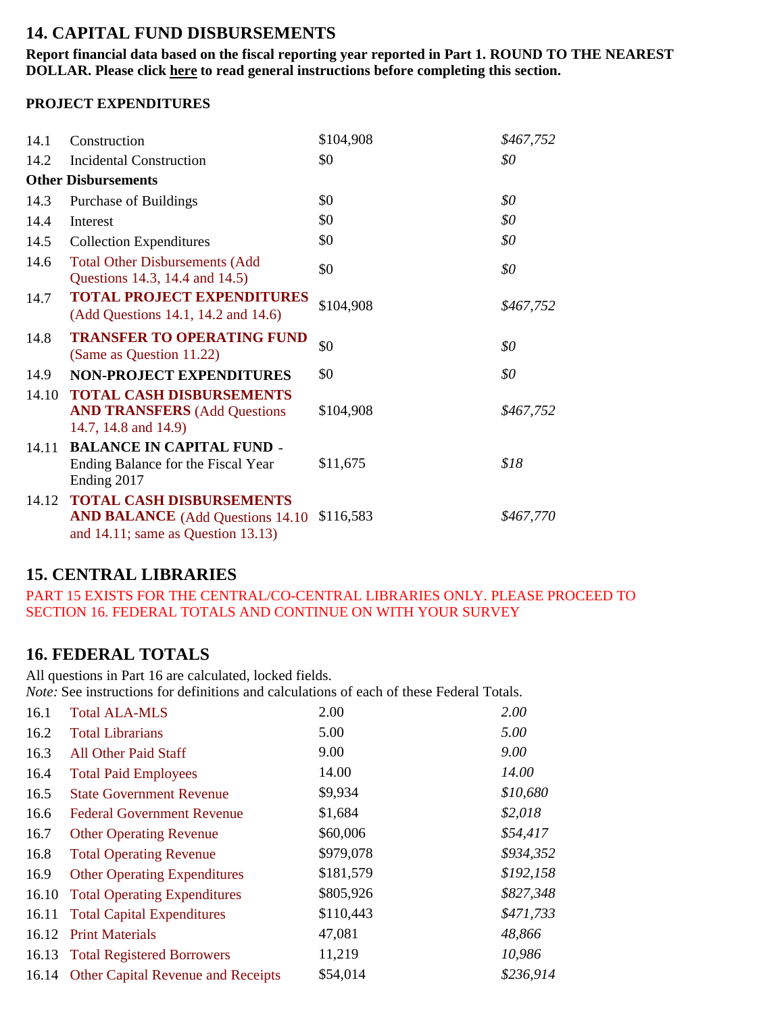## **14. CAPITAL FUND DISBURSEMENTS**

**Report financial data based on the fiscal reporting year reported in Part 1. ROUND TO THE NEAREST DOLLAR. Please click here to read general instructions before completing this section.**

### **PROJECT EXPENDITURES**

| 14.1  | Construction                                                                                                            | \$104,908 | \$467,752 |
|-------|-------------------------------------------------------------------------------------------------------------------------|-----------|-----------|
| 14.2  | <b>Incidental Construction</b>                                                                                          | \$0       | \$0       |
|       | <b>Other Disbursements</b>                                                                                              |           |           |
| 14.3  | Purchase of Buildings                                                                                                   | \$0       | \$0       |
| 14.4  | Interest                                                                                                                | \$0       | \$0       |
| 14.5  | <b>Collection Expenditures</b>                                                                                          | \$0       | \$0       |
| 14.6  | <b>Total Other Disbursements (Add</b><br>Questions 14.3, 14.4 and 14.5)                                                 | \$0       | \$0       |
| 14.7  | <b>TOTAL PROJECT EXPENDITURES</b><br>(Add Questions 14.1, 14.2 and 14.6)                                                | \$104,908 | \$467,752 |
| 14.8  | <b>TRANSFER TO OPERATING FUND</b><br>(Same as Question 11.22)                                                           | \$0       | \$0       |
| 14.9  | <b>NON-PROJECT EXPENDITURES</b>                                                                                         | \$0       | \$0       |
| 14.10 | <b>TOTAL CASH DISBURSEMENTS</b><br><b>AND TRANSFERS</b> (Add Questions<br>14.7, 14.8 and 14.9)                          | \$104,908 | \$467,752 |
| 14.11 | <b>BALANCE IN CAPITAL FUND -</b><br>Ending Balance for the Fiscal Year<br>Ending 2017                                   | \$11,675  | \$18      |
| 14.12 | <b>TOTAL CASH DISBURSEMENTS</b><br><b>AND BALANCE</b> (Add Questions 14.10)<br>and $14.11$ ; same as Question $13.13$ ) | \$116,583 | \$467,770 |

## **15. CENTRAL LIBRARIES**

PART 15 EXISTS FOR THE CENTRAL/CO-CENTRAL LIBRARIES ONLY. PLEASE PROCEED TO SECTION 16. FEDERAL TOTALS AND CONTINUE ON WITH YOUR SURVEY

# **16. FEDERAL TOTALS**

All questions in Part 16 are calculated, locked fields. *Note:* See instructions for definitions and calculations of each of these Federal Totals.

| 16.1  | <b>Total ALA-MLS</b>                     | 2.00      | 2.00      |
|-------|------------------------------------------|-----------|-----------|
| 16.2  | <b>Total Librarians</b>                  | 5.00      | 5.00      |
| 16.3  | <b>All Other Paid Staff</b>              | 9.00      | 9.00      |
| 16.4  | <b>Total Paid Employees</b>              | 14.00     | 14.00     |
| 16.5  | <b>State Government Revenue</b>          | \$9,934   | \$10,680  |
| 16.6  | <b>Federal Government Revenue</b>        | \$1,684   | \$2,018   |
| 16.7  | <b>Other Operating Revenue</b>           | \$60,006  | \$54,417  |
| 16.8  | <b>Total Operating Revenue</b>           | \$979,078 | \$934,352 |
| 16.9  | <b>Other Operating Expenditures</b>      | \$181,579 | \$192,158 |
| 16.10 | <b>Total Operating Expenditures</b>      | \$805,926 | \$827,348 |
|       | 16.11 Total Capital Expenditures         | \$110,443 | \$471,733 |
| 16.12 | <b>Print Materials</b>                   | 47,081    | 48,866    |
|       | 16.13 Total Registered Borrowers         | 11,219    | 10,986    |
|       | 16.14 Other Capital Revenue and Receipts | \$54,014  | \$236,914 |